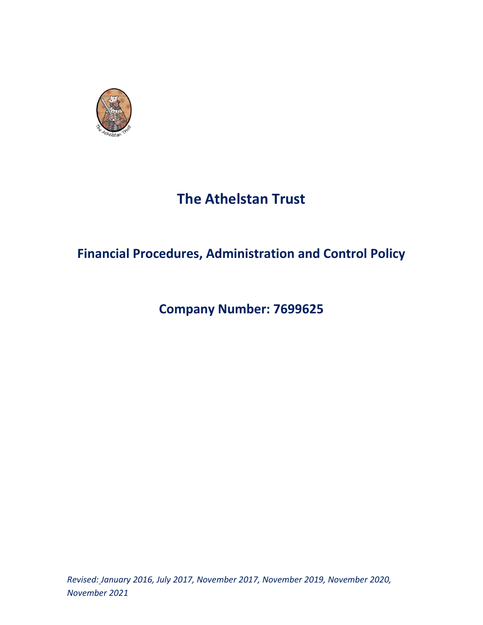

# **The Athelstan Trust**

# **Financial Procedures, Administration and Control Policy**

# **Company Number: 7699625**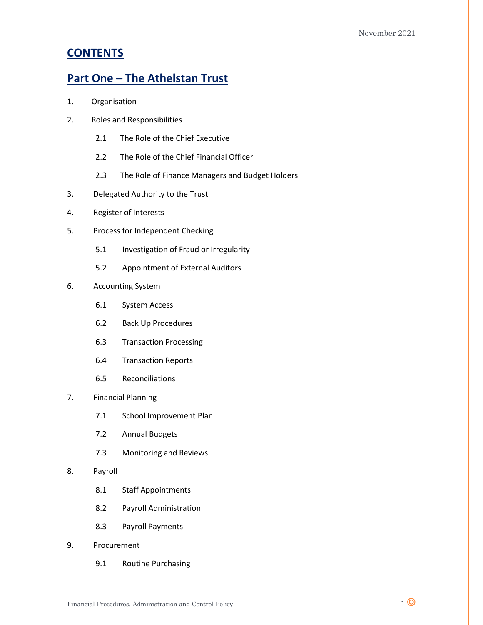## **CONTENTS**

## **Part One – The Athelstan Trust**

- 1. Organisation
- 2. Roles and Responsibilities
	- 2.1 The Role of the Chief Executive
	- 2.2 The Role of the Chief Financial Officer
	- 2.3 The Role of Finance Managers and Budget Holders
- 3. Delegated Authority to the Trust
- 4. Register of Interests
- 5. Process for Independent Checking
	- 5.1 Investigation of Fraud or Irregularity
	- 5.2 Appointment of External Auditors
- 6. Accounting System
	- 6.1 System Access
	- 6.2 Back Up Procedures
	- 6.3 Transaction Processing
	- 6.4 Transaction Reports
	- 6.5 Reconciliations
- 7. Financial Planning
	- 7.1 School Improvement Plan
	- 7.2 Annual Budgets
	- 7.3 Monitoring and Reviews
- 8. Payroll
	- 8.1 Staff Appointments
	- 8.2 Payroll Administration
	- 8.3 Payroll Payments
- 9. Procurement
	- 9.1 Routine Purchasing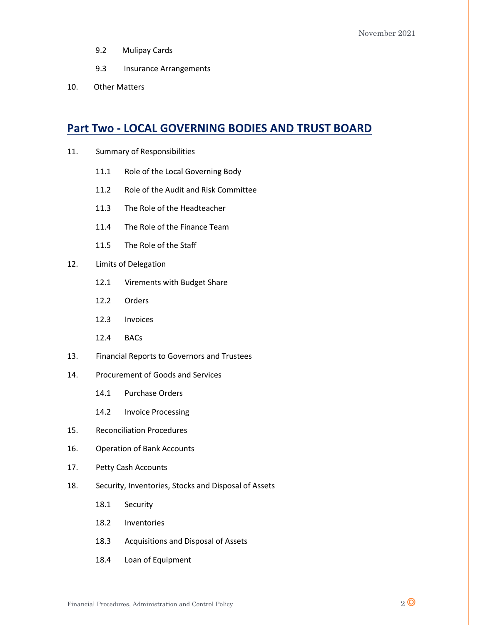- 9.2 Mulipay Cards
- 9.3 Insurance Arrangements
- 10. Other Matters

## **Part Two - LOCAL GOVERNING BODIES AND TRUST BOARD**

- 11. Summary of Responsibilities
	- 11.1 Role of the Local Governing Body
	- 11.2 Role of the Audit and Risk Committee
	- 11.3 The Role of the Headteacher
	- 11.4 The Role of the Finance Team
	- 11.5 The Role of the Staff
- 12. Limits of Delegation
	- 12.1 Virements with Budget Share
	- 12.2 Orders
	- 12.3 Invoices
	- 12.4 BACs
- 13. Financial Reports to Governors and Trustees
- 14. Procurement of Goods and Services
	- 14.1 Purchase Orders
	- 14.2 Invoice Processing
- 15. Reconciliation Procedures
- 16. Operation of Bank Accounts
- 17. Petty Cash Accounts
- 18. Security, Inventories, Stocks and Disposal of Assets
	- 18.1 Security
	- 18.2 Inventories
	- 18.3 Acquisitions and Disposal of Assets
	- 18.4 Loan of Equipment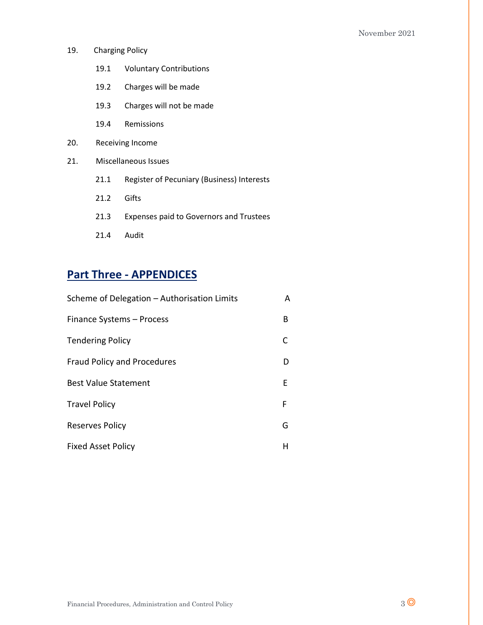- 19. Charging Policy
	- 19.1 Voluntary Contributions
	- 19.2 Charges will be made
	- 19.3 Charges will not be made
	- 19.4 Remissions
- 20. Receiving Income
- 21. Miscellaneous Issues
	- 21.1 Register of Pecuniary (Business) Interests
	- 21.2 Gifts
	- 21.3 Expenses paid to Governors and Trustees
	- 21.4 Audit

# **Part Three - APPENDICES**

| Scheme of Delegation - Authorisation Limits | A |
|---------------------------------------------|---|
| Finance Systems - Process                   | В |
| <b>Tendering Policy</b>                     |   |
| <b>Fraud Policy and Procedures</b>          | D |
| <b>Best Value Statement</b>                 | E |
| <b>Travel Policy</b>                        | F |
| Reserves Policy                             | G |
| <b>Fixed Asset Policy</b>                   | н |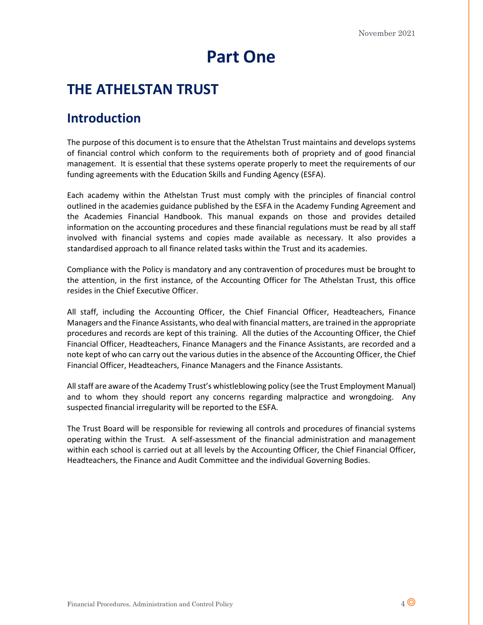# **Part One**

# **THE ATHELSTAN TRUST**

# **Introduction**

The purpose of this document is to ensure that the Athelstan Trust maintains and develops systems of financial control which conform to the requirements both of propriety and of good financial management. It is essential that these systems operate properly to meet the requirements of our funding agreements with the Education Skills and Funding Agency (ESFA).

Each academy within the Athelstan Trust must comply with the principles of financial control outlined in the academies guidance published by the ESFA in the Academy Funding Agreement and the Academies Financial Handbook. This manual expands on those and provides detailed information on the accounting procedures and these financial regulations must be read by all staff involved with financial systems and copies made available as necessary. It also provides a standardised approach to all finance related tasks within the Trust and its academies.

Compliance with the Policy is mandatory and any contravention of procedures must be brought to the attention, in the first instance, of the Accounting Officer for The Athelstan Trust, this office resides in the Chief Executive Officer.

All staff, including the Accounting Officer, the Chief Financial Officer, Headteachers, Finance Managers and the Finance Assistants, who deal with financial matters, are trained in the appropriate procedures and records are kept of this training. All the duties of the Accounting Officer, the Chief Financial Officer, Headteachers, Finance Managers and the Finance Assistants, are recorded and a note kept of who can carry out the various duties in the absence of the Accounting Officer, the Chief Financial Officer, Headteachers, Finance Managers and the Finance Assistants.

All staff are aware of the Academy Trust's whistleblowing policy (see the Trust Employment Manual) and to whom they should report any concerns regarding malpractice and wrongdoing. Any suspected financial irregularity will be reported to the ESFA.

The Trust Board will be responsible for reviewing all controls and procedures of financial systems operating within the Trust. A self-assessment of the financial administration and management within each school is carried out at all levels by the Accounting Officer, the Chief Financial Officer, Headteachers, the Finance and Audit Committee and the individual Governing Bodies.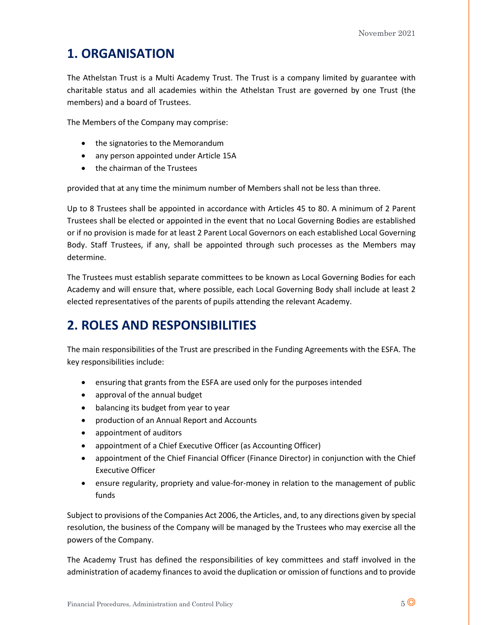# **1. ORGANISATION**

The Athelstan Trust is a Multi Academy Trust. The Trust is a company limited by guarantee with charitable status and all academies within the Athelstan Trust are governed by one Trust (the members) and a board of Trustees.

The Members of the Company may comprise:

- the signatories to the Memorandum
- any person appointed under Article 15A
- the chairman of the Trustees

provided that at any time the minimum number of Members shall not be less than three.

Up to 8 Trustees shall be appointed in accordance with Articles 45 to 80. A minimum of 2 Parent Trustees shall be elected or appointed in the event that no Local Governing Bodies are established or if no provision is made for at least 2 Parent Local Governors on each established Local Governing Body. Staff Trustees, if any, shall be appointed through such processes as the Members may determine.

The Trustees must establish separate committees to be known as Local Governing Bodies for each Academy and will ensure that, where possible, each Local Governing Body shall include at least 2 elected representatives of the parents of pupils attending the relevant Academy.

# **2. ROLES AND RESPONSIBILITIES**

The main responsibilities of the Trust are prescribed in the Funding Agreements with the ESFA. The key responsibilities include:

- ensuring that grants from the ESFA are used only for the purposes intended
- approval of the annual budget
- balancing its budget from year to year
- production of an Annual Report and Accounts
- appointment of auditors
- appointment of a Chief Executive Officer (as Accounting Officer)
- appointment of the Chief Financial Officer (Finance Director) in conjunction with the Chief Executive Officer
- ensure regularity, propriety and value-for-money in relation to the management of public funds

Subject to provisions of the Companies Act 2006, the Articles, and, to any directions given by special resolution, the business of the Company will be managed by the Trustees who may exercise all the powers of the Company.

The Academy Trust has defined the responsibilities of key committees and staff involved in the administration of academy finances to avoid the duplication or omission of functions and to provide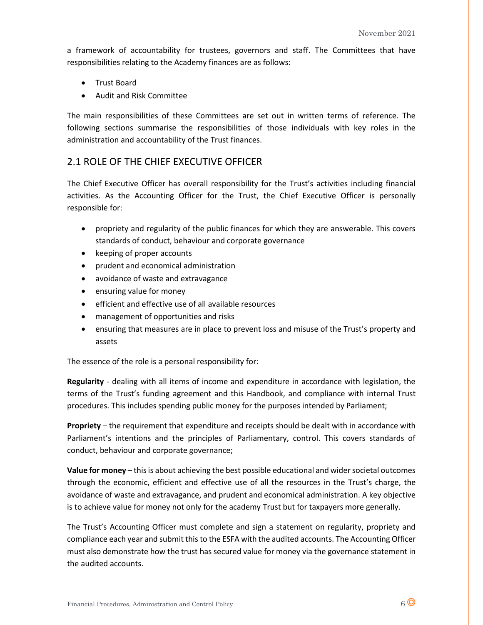a framework of accountability for trustees, governors and staff. The Committees that have responsibilities relating to the Academy finances are as follows:

- Trust Board
- Audit and Risk Committee

The main responsibilities of these Committees are set out in written terms of reference. The following sections summarise the responsibilities of those individuals with key roles in the administration and accountability of the Trust finances.

## 2.1 ROLE OF THE CHIEF EXECUTIVE OFFICER

The Chief Executive Officer has overall responsibility for the Trust's activities including financial activities. As the Accounting Officer for the Trust, the Chief Executive Officer is personally responsible for:

- propriety and regularity of the public finances for which they are answerable. This covers standards of conduct, behaviour and corporate governance
- keeping of proper accounts
- prudent and economical administration
- avoidance of waste and extravagance
- ensuring value for money
- efficient and effective use of all available resources
- management of opportunities and risks
- ensuring that measures are in place to prevent loss and misuse of the Trust's property and assets

The essence of the role is a personal responsibility for:

**Regularity** - dealing with all items of income and expenditure in accordance with legislation, the terms of the Trust's funding agreement and this Handbook, and compliance with internal Trust procedures. This includes spending public money for the purposes intended by Parliament;

**Propriety** – the requirement that expenditure and receipts should be dealt with in accordance with Parliament's intentions and the principles of Parliamentary, control. This covers standards of conduct, behaviour and corporate governance;

**Value for money** – this is about achieving the best possible educational and wider societal outcomes through the economic, efficient and effective use of all the resources in the Trust's charge, the avoidance of waste and extravagance, and prudent and economical administration. A key objective is to achieve value for money not only for the academy Trust but for taxpayers more generally.

The Trust's Accounting Officer must complete and sign a statement on regularity, propriety and compliance each year and submit this to the ESFA with the audited accounts. The Accounting Officer must also demonstrate how the trust has secured value for money via the governance statement in the audited accounts.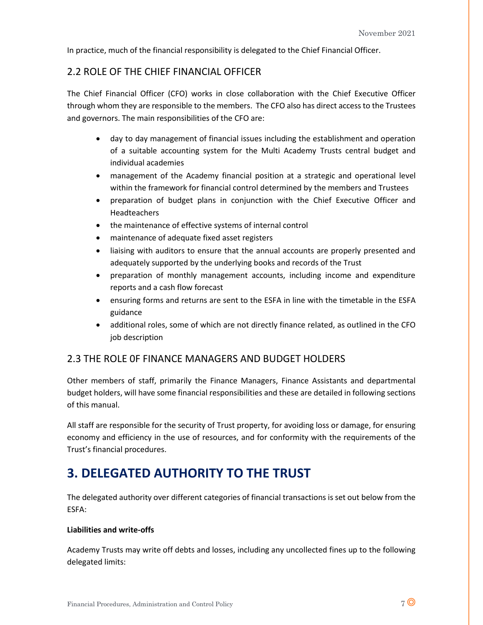In practice, much of the financial responsibility is delegated to the Chief Financial Officer.

## 2.2 ROLE OF THE CHIEF FINANCIAL OFFICER

The Chief Financial Officer (CFO) works in close collaboration with the Chief Executive Officer through whom they are responsible to the members. The CFO also has direct access to the Trustees and governors. The main responsibilities of the CFO are:

- day to day management of financial issues including the establishment and operation of a suitable accounting system for the Multi Academy Trusts central budget and individual academies
- management of the Academy financial position at a strategic and operational level within the framework for financial control determined by the members and Trustees
- preparation of budget plans in conjunction with the Chief Executive Officer and **Headteachers**
- the maintenance of effective systems of internal control
- maintenance of adequate fixed asset registers
- liaising with auditors to ensure that the annual accounts are properly presented and adequately supported by the underlying books and records of the Trust
- preparation of monthly management accounts, including income and expenditure reports and a cash flow forecast
- ensuring forms and returns are sent to the ESFA in line with the timetable in the ESFA guidance
- additional roles, some of which are not directly finance related, as outlined in the CFO job description

### 2.3 THE ROLE 0F FINANCE MANAGERS AND BUDGET HOLDERS

Other members of staff, primarily the Finance Managers, Finance Assistants and departmental budget holders, will have some financial responsibilities and these are detailed in following sections of this manual.

All staff are responsible for the security of Trust property, for avoiding loss or damage, for ensuring economy and efficiency in the use of resources, and for conformity with the requirements of the Trust's financial procedures.

# **3. DELEGATED AUTHORITY TO THE TRUST**

The delegated authority over different categories of financial transactions is set out below from the ESFA:

### **Liabilities and write-offs**

Academy Trusts may write off debts and losses, including any uncollected fines up to the following delegated limits: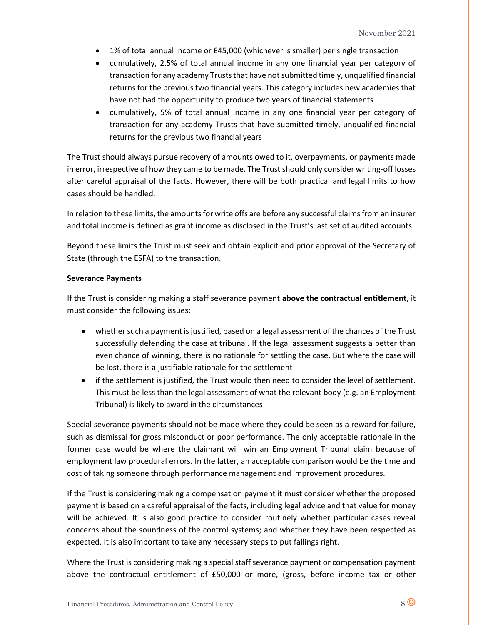- 1% of total annual income or £45,000 (whichever is smaller) per single transaction
- cumulatively, 2.5% of total annual income in any one financial year per category of transaction for any academy Trusts that have not submitted timely, unqualified financial returns for the previous two financial years. This category includes new academies that have not had the opportunity to produce two years of financial statements
- cumulatively, 5% of total annual income in any one financial year per category of transaction for any academy Trusts that have submitted timely, unqualified financial returns for the previous two financial years

The Trust should always pursue recovery of amounts owed to it, overpayments, or payments made in error, irrespective of how they came to be made. The Trust should only consider writing-off losses after careful appraisal of the facts. However, there will be both practical and legal limits to how cases should be handled.

In relation to these limits, the amounts for write offs are before any successful claims from an insurer and total income is defined as grant income as disclosed in the Trust's last set of audited accounts.

Beyond these limits the Trust must seek and obtain explicit and prior approval of the Secretary of State (through the ESFA) to the transaction.

#### **Severance Payments**

If the Trust is considering making a staff severance payment **above the contractual entitlement**, it must consider the following issues:

- whether such a payment is justified, based on a legal assessment of the chances of the Trust successfully defending the case at tribunal. If the legal assessment suggests a better than even chance of winning, there is no rationale for settling the case. But where the case will be lost, there is a justifiable rationale for the settlement
- if the settlement is justified, the Trust would then need to consider the level of settlement. This must be less than the legal assessment of what the relevant body (e.g. an Employment Tribunal) is likely to award in the circumstances

Special severance payments should not be made where they could be seen as a reward for failure, such as dismissal for gross misconduct or poor performance. The only acceptable rationale in the former case would be where the claimant will win an Employment Tribunal claim because of employment law procedural errors. In the latter, an acceptable comparison would be the time and cost of taking someone through performance management and improvement procedures.

If the Trust is considering making a compensation payment it must consider whether the proposed payment is based on a careful appraisal of the facts, including legal advice and that value for money will be achieved. It is also good practice to consider routinely whether particular cases reveal concerns about the soundness of the control systems; and whether they have been respected as expected. It is also important to take any necessary steps to put failings right.

Where the Trust is considering making a special staff severance payment or compensation payment above the contractual entitlement of £50,000 or more, (gross, before income tax or other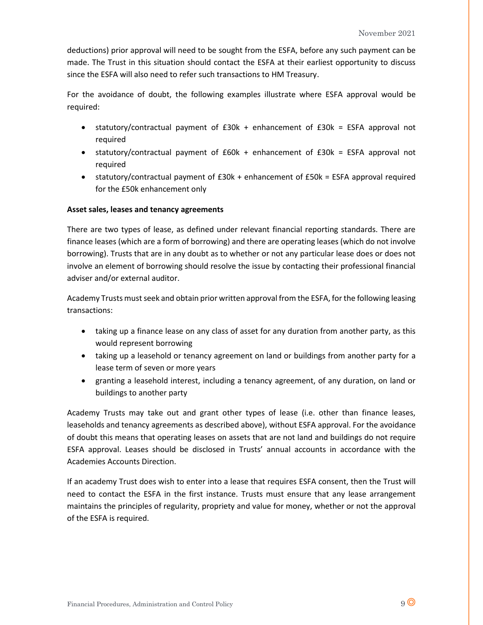deductions) prior approval will need to be sought from the ESFA, before any such payment can be made. The Trust in this situation should contact the ESFA at their earliest opportunity to discuss since the ESFA will also need to refer such transactions to HM Treasury.

For the avoidance of doubt, the following examples illustrate where ESFA approval would be required:

- statutory/contractual payment of £30k + enhancement of £30k = ESFA approval not required
- statutory/contractual payment of £60k + enhancement of £30k = ESFA approval not required
- statutory/contractual payment of £30k + enhancement of £50k = ESFA approval required for the £50k enhancement only

### **Asset sales, leases and tenancy agreements**

There are two types of lease, as defined under relevant financial reporting standards. There are finance leases (which are a form of borrowing) and there are operating leases (which do not involve borrowing). Trusts that are in any doubt as to whether or not any particular lease does or does not involve an element of borrowing should resolve the issue by contacting their professional financial adviser and/or external auditor.

Academy Trusts must seek and obtain prior written approval from the ESFA, for the following leasing transactions:

- taking up a finance lease on any class of asset for any duration from another party, as this would represent borrowing
- taking up a leasehold or tenancy agreement on land or buildings from another party for a lease term of seven or more years
- granting a leasehold interest, including a tenancy agreement, of any duration, on land or buildings to another party

Academy Trusts may take out and grant other types of lease (i.e. other than finance leases, leaseholds and tenancy agreements as described above), without ESFA approval. For the avoidance of doubt this means that operating leases on assets that are not land and buildings do not require ESFA approval. Leases should be disclosed in Trusts' annual accounts in accordance with the Academies Accounts Direction.

If an academy Trust does wish to enter into a lease that requires ESFA consent, then the Trust will need to contact the ESFA in the first instance. Trusts must ensure that any lease arrangement maintains the principles of regularity, propriety and value for money, whether or not the approval of the ESFA is required.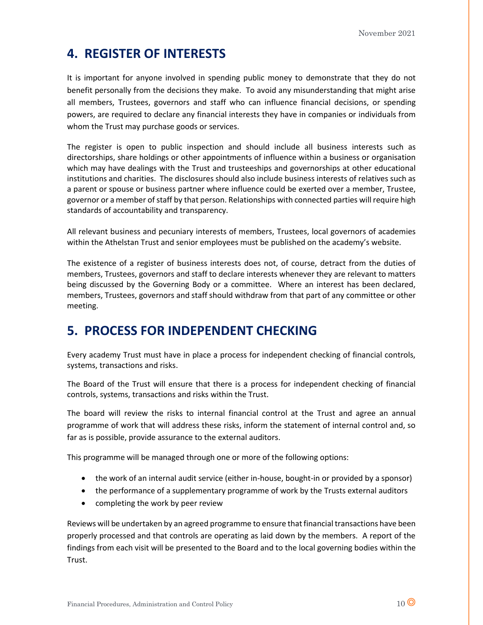# **4. REGISTER OF INTERESTS**

It is important for anyone involved in spending public money to demonstrate that they do not benefit personally from the decisions they make. To avoid any misunderstanding that might arise all members, Trustees, governors and staff who can influence financial decisions, or spending powers, are required to declare any financial interests they have in companies or individuals from whom the Trust may purchase goods or services.

The register is open to public inspection and should include all business interests such as directorships, share holdings or other appointments of influence within a business or organisation which may have dealings with the Trust and trusteeships and governorships at other educational institutions and charities. The disclosures should also include business interests of relatives such as a parent or spouse or business partner where influence could be exerted over a member, Trustee, governor or a member of staff by that person. Relationships with connected parties will require high standards of accountability and transparency.

All relevant business and pecuniary interests of members, Trustees, local governors of academies within the Athelstan Trust and senior employees must be published on the academy's website.

The existence of a register of business interests does not, of course, detract from the duties of members, Trustees, governors and staff to declare interests whenever they are relevant to matters being discussed by the Governing Body or a committee. Where an interest has been declared, members, Trustees, governors and staff should withdraw from that part of any committee or other meeting.

# **5. PROCESS FOR INDEPENDENT CHECKING**

Every academy Trust must have in place a process for independent checking of financial controls, systems, transactions and risks.

The Board of the Trust will ensure that there is a process for independent checking of financial controls, systems, transactions and risks within the Trust.

The board will review the risks to internal financial control at the Trust and agree an annual programme of work that will address these risks, inform the statement of internal control and, so far as is possible, provide assurance to the external auditors.

This programme will be managed through one or more of the following options:

- the work of an internal audit service (either in-house, bought-in or provided by a sponsor)
- the performance of a supplementary programme of work by the Trusts external auditors
- completing the work by peer review

Reviews will be undertaken by an agreed programme to ensure that financial transactions have been properly processed and that controls are operating as laid down by the members. A report of the findings from each visit will be presented to the Board and to the local governing bodies within the Trust.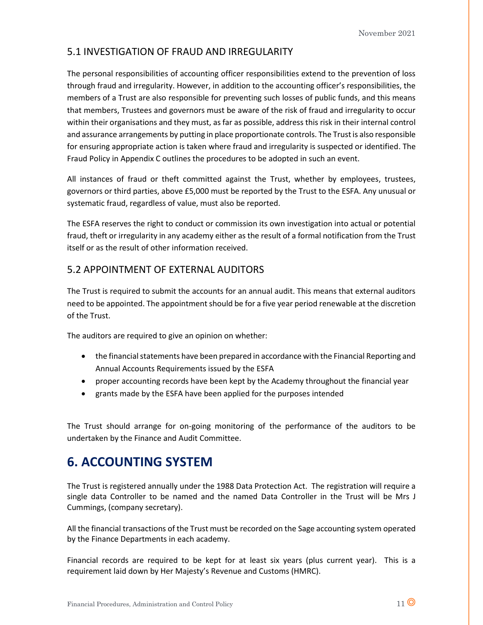## 5.1 INVESTIGATION OF FRAUD AND IRREGULARITY

The personal responsibilities of accounting officer responsibilities extend to the prevention of loss through fraud and irregularity. However, in addition to the accounting officer's responsibilities, the members of a Trust are also responsible for preventing such losses of public funds, and this means that members, Trustees and governors must be aware of the risk of fraud and irregularity to occur within their organisations and they must, as far as possible, address this risk in their internal control and assurance arrangements by putting in place proportionate controls. The Trustis also responsible for ensuring appropriate action is taken where fraud and irregularity is suspected or identified. The Fraud Policy in Appendix C outlines the procedures to be adopted in such an event.

All instances of fraud or theft committed against the Trust, whether by employees, trustees, governors or third parties, above £5,000 must be reported by the Trust to the ESFA. Any unusual or systematic fraud, regardless of value, must also be reported.

The ESFA reserves the right to conduct or commission its own investigation into actual or potential fraud, theft or irregularity in any academy either as the result of a formal notification from the Trust itself or as the result of other information received.

## 5.2 APPOINTMENT OF EXTERNAL AUDITORS

The Trust is required to submit the accounts for an annual audit. This means that external auditors need to be appointed. The appointment should be for a five year period renewable at the discretion of the Trust.

The auditors are required to give an opinion on whether:

- the financial statements have been prepared in accordance with the Financial Reporting and Annual Accounts Requirements issued by the ESFA
- proper accounting records have been kept by the Academy throughout the financial year
- grants made by the ESFA have been applied for the purposes intended

The Trust should arrange for on-going monitoring of the performance of the auditors to be undertaken by the Finance and Audit Committee.

# **6. ACCOUNTING SYSTEM**

The Trust is registered annually under the 1988 Data Protection Act. The registration will require a single data Controller to be named and the named Data Controller in the Trust will be Mrs J Cummings, (company secretary).

All the financial transactions of the Trust must be recorded on the Sage accounting system operated by the Finance Departments in each academy.

Financial records are required to be kept for at least six years (plus current year). This is a requirement laid down by Her Majesty's Revenue and Customs (HMRC).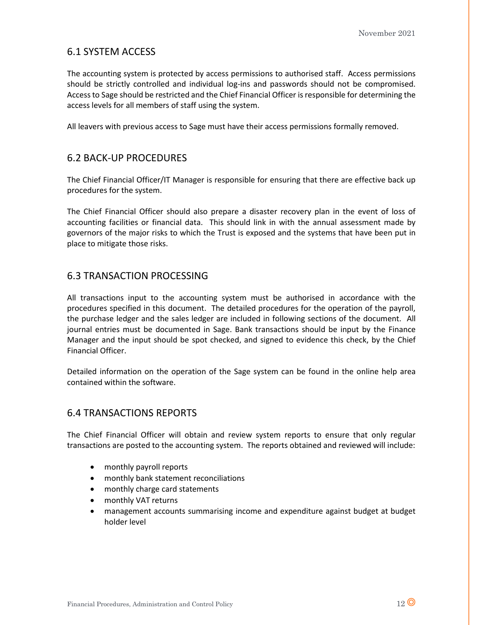## 6.1 SYSTEM ACCESS

The accounting system is protected by access permissions to authorised staff. Access permissions should be strictly controlled and individual log-ins and passwords should not be compromised. Access to Sage should be restricted and the Chief Financial Officer is responsible for determining the access levels for all members of staff using the system.

All leavers with previous access to Sage must have their access permissions formally removed.

## 6.2 BACK-UP PROCEDURES

The Chief Financial Officer/IT Manager is responsible for ensuring that there are effective back up procedures for the system.

The Chief Financial Officer should also prepare a disaster recovery plan in the event of loss of accounting facilities or financial data. This should link in with the annual assessment made by governors of the major risks to which the Trust is exposed and the systems that have been put in place to mitigate those risks.

## 6.3 TRANSACTION PROCESSING

All transactions input to the accounting system must be authorised in accordance with the procedures specified in this document. The detailed procedures for the operation of the payroll, the purchase ledger and the sales ledger are included in following sections of the document. All journal entries must be documented in Sage. Bank transactions should be input by the Finance Manager and the input should be spot checked, and signed to evidence this check, by the Chief Financial Officer.

Detailed information on the operation of the Sage system can be found in the online help area contained within the software.

## 6.4 TRANSACTIONS REPORTS

The Chief Financial Officer will obtain and review system reports to ensure that only regular transactions are posted to the accounting system. The reports obtained and reviewed will include:

- monthly payroll reports
- monthly bank statement reconciliations
- monthly charge card statements
- monthly VAT returns
- management accounts summarising income and expenditure against budget at budget holder level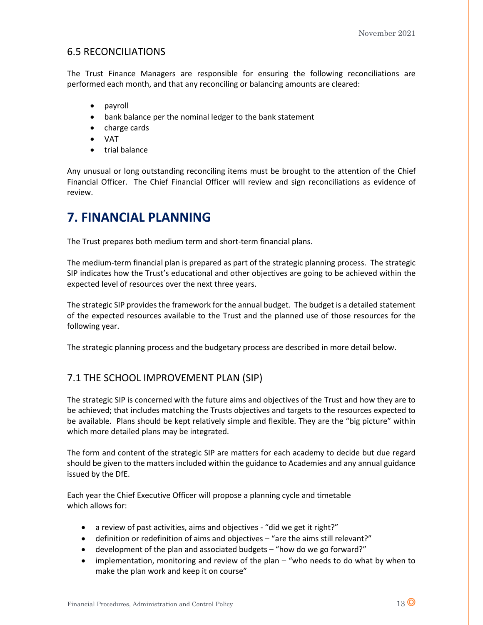## 6.5 RECONCILIATIONS

The Trust Finance Managers are responsible for ensuring the following reconciliations are performed each month, and that any reconciling or balancing amounts are cleared:

- payroll
- bank balance per the nominal ledger to the bank statement
- charge cards
- VAT
- trial balance

Any unusual or long outstanding reconciling items must be brought to the attention of the Chief Financial Officer. The Chief Financial Officer will review and sign reconciliations as evidence of review.

# **7. FINANCIAL PLANNING**

The Trust prepares both medium term and short-term financial plans.

The medium-term financial plan is prepared as part of the strategic planning process. The strategic SIP indicates how the Trust's educational and other objectives are going to be achieved within the expected level of resources over the next three years.

The strategic SIP provides the framework for the annual budget. The budget is a detailed statement of the expected resources available to the Trust and the planned use of those resources for the following year.

The strategic planning process and the budgetary process are described in more detail below.

## 7.1 THE SCHOOL IMPROVEMENT PLAN (SIP)

The strategic SIP is concerned with the future aims and objectives of the Trust and how they are to be achieved; that includes matching the Trusts objectives and targets to the resources expected to be available. Plans should be kept relatively simple and flexible. They are the "big picture" within which more detailed plans may be integrated.

The form and content of the strategic SIP are matters for each academy to decide but due regard should be given to the matters included within the guidance to Academies and any annual guidance issued by the DfE.

Each year the Chief Executive Officer will propose a planning cycle and timetable which allows for:

- a review of past activities, aims and objectives "did we get it right?"
- definition or redefinition of aims and objectives "are the aims still relevant?"
- development of the plan and associated budgets "how do we go forward?"
- implementation, monitoring and review of the plan "who needs to do what by when to make the plan work and keep it on course"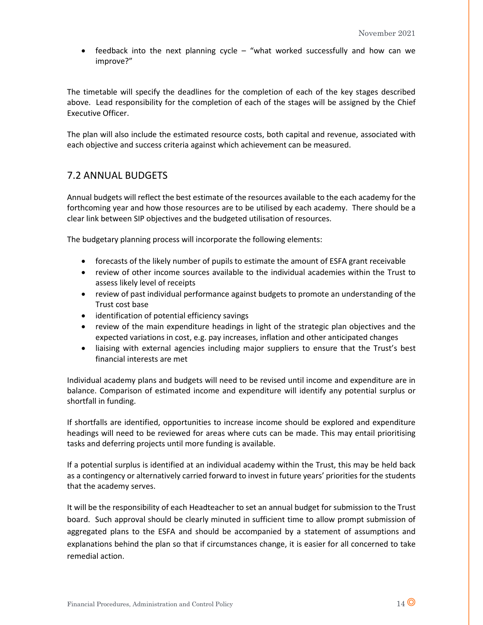• feedback into the next planning cycle – "what worked successfully and how can we improve?"

The timetable will specify the deadlines for the completion of each of the key stages described above. Lead responsibility for the completion of each of the stages will be assigned by the Chief Executive Officer.

The plan will also include the estimated resource costs, both capital and revenue, associated with each objective and success criteria against which achievement can be measured.

## 7.2 ANNUAL BUDGETS

Annual budgets will reflect the best estimate of the resources available to the each academy for the forthcoming year and how those resources are to be utilised by each academy. There should be a clear link between SIP objectives and the budgeted utilisation of resources.

The budgetary planning process will incorporate the following elements:

- forecasts of the likely number of pupils to estimate the amount of ESFA grant receivable
- review of other income sources available to the individual academies within the Trust to assess likely level of receipts
- review of past individual performance against budgets to promote an understanding of the Trust cost base
- identification of potential efficiency savings
- review of the main expenditure headings in light of the strategic plan objectives and the expected variations in cost, e.g. pay increases, inflation and other anticipated changes
- liaising with external agencies including major suppliers to ensure that the Trust's best financial interests are met

Individual academy plans and budgets will need to be revised until income and expenditure are in balance. Comparison of estimated income and expenditure will identify any potential surplus or shortfall in funding.

If shortfalls are identified, opportunities to increase income should be explored and expenditure headings will need to be reviewed for areas where cuts can be made. This may entail prioritising tasks and deferring projects until more funding is available.

If a potential surplus is identified at an individual academy within the Trust, this may be held back as a contingency or alternatively carried forward to invest in future years' priorities for the students that the academy serves.

It will be the responsibility of each Headteacher to set an annual budget for submission to the Trust board. Such approval should be clearly minuted in sufficient time to allow prompt submission of aggregated plans to the ESFA and should be accompanied by a statement of assumptions and explanations behind the plan so that if circumstances change, it is easier for all concerned to take remedial action.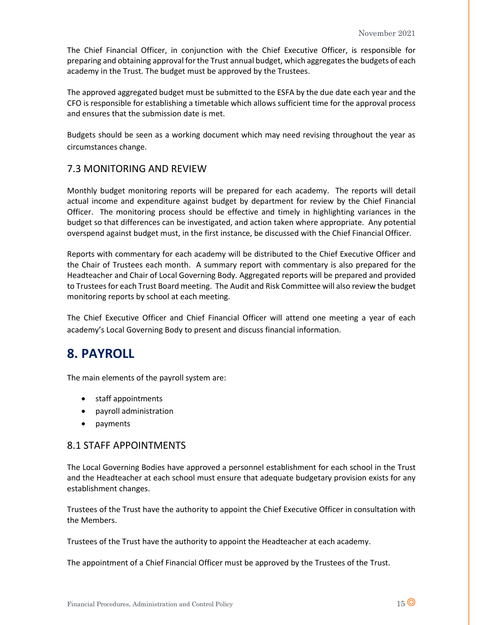The Chief Financial Officer, in conjunction with the Chief Executive Officer, is responsible for preparing and obtaining approval for the Trust annual budget, which aggregates the budgets of each academy in the Trust. The budget must be approved by the Trustees.

The approved aggregated budget must be submitted to the ESFA by the due date each year and the CFO is responsible for establishing a timetable which allows sufficient time for the approval process and ensures that the submission date is met.

Budgets should be seen as a working document which may need revising throughout the year as circumstances change.

## 7.3 MONITORING AND REVIEW

Monthly budget monitoring reports will be prepared for each academy. The reports will detail actual income and expenditure against budget by department for review by the Chief Financial Officer. The monitoring process should be effective and timely in highlighting variances in the budget so that differences can be investigated, and action taken where appropriate. Any potential overspend against budget must, in the first instance, be discussed with the Chief Financial Officer.

Reports with commentary for each academy will be distributed to the Chief Executive Officer and the Chair of Trustees each month. A summary report with commentary is also prepared for the Headteacher and Chair of Local Governing Body. Aggregated reports will be prepared and provided to Trustees for each Trust Board meeting. The Audit and Risk Committee will also review the budget monitoring reports by school at each meeting.

The Chief Executive Officer and Chief Financial Officer will attend one meeting a year of each academy's Local Governing Body to present and discuss financial information.

# **8. PAYROLL**

The main elements of the payroll system are:

- staff appointments
- payroll administration
- payments

### 8.1 STAFF APPOINTMENTS

The Local Governing Bodies have approved a personnel establishment for each school in the Trust and the Headteacher at each school must ensure that adequate budgetary provision exists for any establishment changes.

Trustees of the Trust have the authority to appoint the Chief Executive Officer in consultation with the Members.

Trustees of the Trust have the authority to appoint the Headteacher at each academy.

The appointment of a Chief Financial Officer must be approved by the Trustees of the Trust.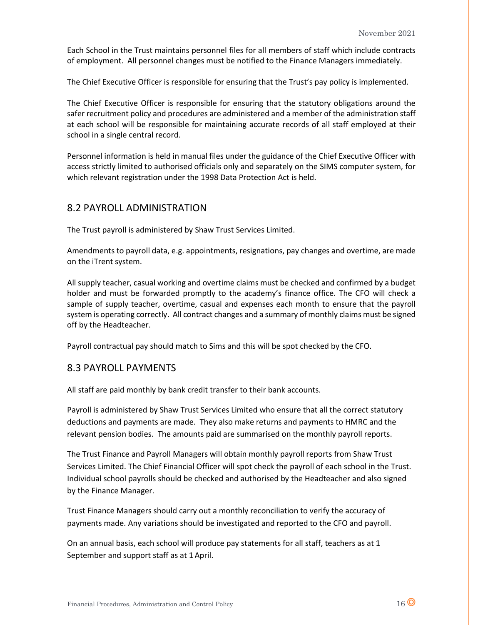Each School in the Trust maintains personnel files for all members of staff which include contracts of employment. All personnel changes must be notified to the Finance Managers immediately.

The Chief Executive Officer is responsible for ensuring that the Trust's pay policy is implemented.

The Chief Executive Officer is responsible for ensuring that the statutory obligations around the safer recruitment policy and procedures are administered and a member of the administration staff at each school will be responsible for maintaining accurate records of all staff employed at their school in a single central record.

Personnel information is held in manual files under the guidance of the Chief Executive Officer with access strictly limited to authorised officials only and separately on the SIMS computer system, for which relevant registration under the 1998 Data Protection Act is held.

### 8.2 PAYROLL ADMINISTRATION

The Trust payroll is administered by Shaw Trust Services Limited.

Amendments to payroll data, e.g. appointments, resignations, pay changes and overtime, are made on the iTrent system.

All supply teacher, casual working and overtime claims must be checked and confirmed by a budget holder and must be forwarded promptly to the academy's finance office. The CFO will check a sample of supply teacher, overtime, casual and expenses each month to ensure that the payroll system is operating correctly. All contract changes and a summary of monthly claims must be signed off by the Headteacher.

Payroll contractual pay should match to Sims and this will be spot checked by the CFO.

### 8.3 PAYROLL PAYMENTS

All staff are paid monthly by bank credit transfer to their bank accounts.

Payroll is administered by Shaw Trust Services Limited who ensure that all the correct statutory deductions and payments are made. They also make returns and payments to HMRC and the relevant pension bodies. The amounts paid are summarised on the monthly payroll reports.

The Trust Finance and Payroll Managers will obtain monthly payroll reports from Shaw Trust Services Limited. The Chief Financial Officer will spot check the payroll of each school in the Trust. Individual school payrolls should be checked and authorised by the Headteacher and also signed by the Finance Manager.

Trust Finance Managers should carry out a monthly reconciliation to verify the accuracy of payments made. Any variations should be investigated and reported to the CFO and payroll.

On an annual basis, each school will produce pay statements for all staff, teachers as at 1 September and support staff as at 1 April.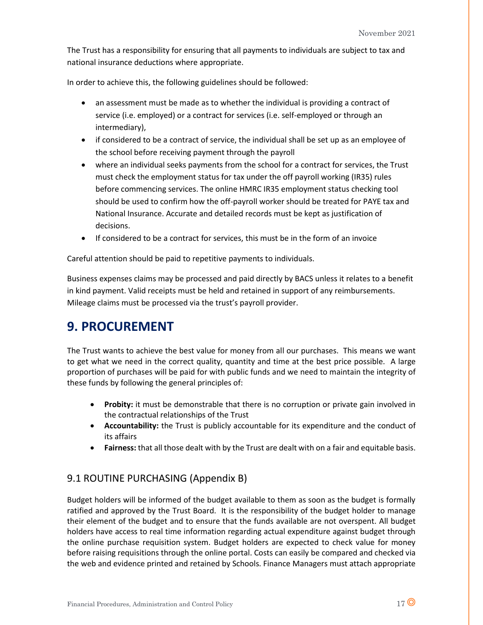The Trust has a responsibility for ensuring that all payments to individuals are subject to tax and national insurance deductions where appropriate.

In order to achieve this, the following guidelines should be followed:

- an assessment must be made as to whether the individual is providing a contract of service (i.e. employed) or a contract for services (i.e. self-employed or through an intermediary),
- if considered to be a contract of service, the individual shall be set up as an employee of the school before receiving payment through the payroll
- where an individual seeks payments from the school for a contract for services, the Trust must check the employment status for tax under the off payroll working (IR35) rules before commencing services. The online HMRC IR35 employment status checking tool should be used to confirm how the off-payroll worker should be treated for PAYE tax and National Insurance. Accurate and detailed records must be kept as justification of decisions.
- If considered to be a contract for services, this must be in the form of an invoice

Careful attention should be paid to repetitive payments to individuals.

Business expenses claims may be processed and paid directly by BACS unless it relates to a benefit in kind payment. Valid receipts must be held and retained in support of any reimbursements. Mileage claims must be processed via the trust's payroll provider.

# **9. PROCUREMENT**

The Trust wants to achieve the best value for money from all our purchases. This means we want to get what we need in the correct quality, quantity and time at the best price possible. A large proportion of purchases will be paid for with public funds and we need to maintain the integrity of these funds by following the general principles of:

- **Probity:** it must be demonstrable that there is no corruption or private gain involved in the contractual relationships of the Trust
- **Accountability:** the Trust is publicly accountable for its expenditure and the conduct of its affairs
- **Fairness:** that all those dealt with by the Trust are dealt with on a fair and equitable basis.

## 9.1 ROUTINE PURCHASING (Appendix B)

Budget holders will be informed of the budget available to them as soon as the budget is formally ratified and approved by the Trust Board. It is the responsibility of the budget holder to manage their element of the budget and to ensure that the funds available are not overspent. All budget holders have access to real time information regarding actual expenditure against budget through the online purchase requisition system. Budget holders are expected to check value for money before raising requisitions through the online portal. Costs can easily be compared and checked via the web and evidence printed and retained by Schools. Finance Managers must attach appropriate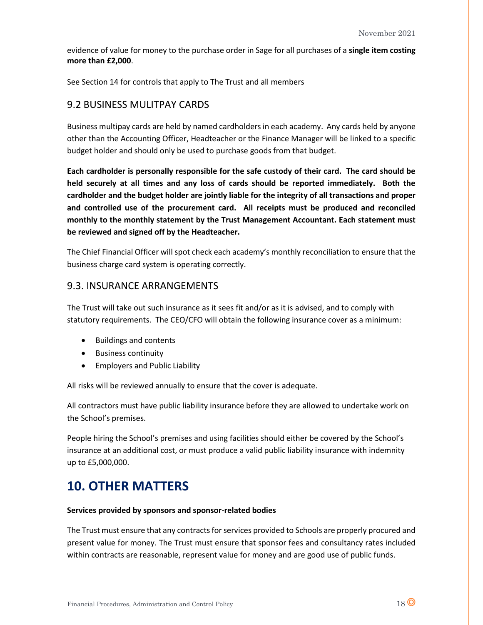evidence of value for money to the purchase order in Sage for all purchases of a **single item costing more than £2,000**.

See Section 14 for controls that apply to The Trust and all members

### 9.2 BUSINESS MULITPAY CARDS

Business multipay cards are held by named cardholders in each academy. Any cards held by anyone other than the Accounting Officer, Headteacher or the Finance Manager will be linked to a specific budget holder and should only be used to purchase goods from that budget.

**Each cardholder is personally responsible for the safe custody of their card. The card should be held securely at all times and any loss of cards should be reported immediately. Both the cardholder and the budget holder are jointly liable for the integrity of all transactions and proper and controlled use of the procurement card. All receipts must be produced and reconciled monthly to the monthly statement by the Trust Management Accountant. Each statement must be reviewed and signed off by the Headteacher.**

The Chief Financial Officer will spot check each academy's monthly reconciliation to ensure that the business charge card system is operating correctly.

### 9.3. INSURANCE ARRANGEMENTS

The Trust will take out such insurance as it sees fit and/or as it is advised, and to comply with statutory requirements. The CEO/CFO will obtain the following insurance cover as a minimum:

- Buildings and contents
- Business continuity
- Employers and Public Liability

All risks will be reviewed annually to ensure that the cover is adequate.

All contractors must have public liability insurance before they are allowed to undertake work on the School's premises.

People hiring the School's premises and using facilities should either be covered by the School's insurance at an additional cost, or must produce a valid public liability insurance with indemnity up to £5,000,000.

# **10. OTHER MATTERS**

#### **Services provided by sponsors and sponsor-related bodies**

The Trust must ensure that any contracts for services provided to Schools are properly procured and present value for money. The Trust must ensure that sponsor fees and consultancy rates included within contracts are reasonable, represent value for money and are good use of public funds.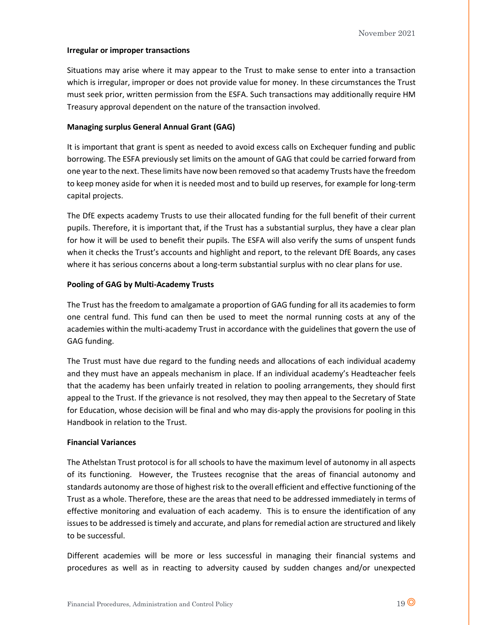### **Irregular or improper transactions**

Situations may arise where it may appear to the Trust to make sense to enter into a transaction which is irregular, improper or does not provide value for money. In these circumstances the Trust must seek prior, written permission from the ESFA. Such transactions may additionally require HM Treasury approval dependent on the nature of the transaction involved.

### **Managing surplus General Annual Grant (GAG)**

It is important that grant is spent as needed to avoid excess calls on Exchequer funding and public borrowing. The ESFA previously set limits on the amount of GAG that could be carried forward from one year to the next. These limits have now been removed so that academy Trusts have the freedom to keep money aside for when it is needed most and to build up reserves, for example for long-term capital projects.

The DfE expects academy Trusts to use their allocated funding for the full benefit of their current pupils. Therefore, it is important that, if the Trust has a substantial surplus, they have a clear plan for how it will be used to benefit their pupils. The ESFA will also verify the sums of unspent funds when it checks the Trust's accounts and highlight and report, to the relevant DfE Boards, any cases where it has serious concerns about a long-term substantial surplus with no clear plans for use.

### **Pooling of GAG by Multi-Academy Trusts**

The Trust has the freedom to amalgamate a proportion of GAG funding for all its academies to form one central fund. This fund can then be used to meet the normal running costs at any of the academies within the multi-academy Trust in accordance with the guidelines that govern the use of GAG funding.

The Trust must have due regard to the funding needs and allocations of each individual academy and they must have an appeals mechanism in place. If an individual academy's Headteacher feels that the academy has been unfairly treated in relation to pooling arrangements, they should first appeal to the Trust. If the grievance is not resolved, they may then appeal to the Secretary of State for Education, whose decision will be final and who may dis-apply the provisions for pooling in this Handbook in relation to the Trust.

### **Financial Variances**

The Athelstan Trust protocol is for all schools to have the maximum level of autonomy in all aspects of its functioning. However, the Trustees recognise that the areas of financial autonomy and standards autonomy are those of highest risk to the overall efficient and effective functioning of the Trust as a whole. Therefore, these are the areas that need to be addressed immediately in terms of effective monitoring and evaluation of each academy. This is to ensure the identification of any issues to be addressed is timely and accurate, and plans for remedial action are structured and likely to be successful.

Different academies will be more or less successful in managing their financial systems and procedures as well as in reacting to adversity caused by sudden changes and/or unexpected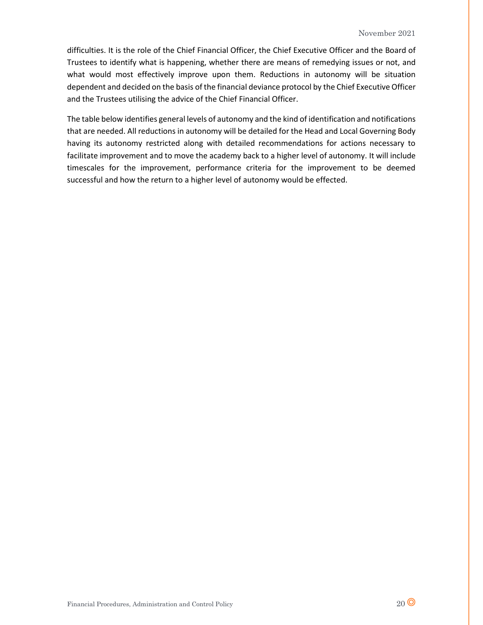difficulties. It is the role of the Chief Financial Officer, the Chief Executive Officer and the Board of Trustees to identify what is happening, whether there are means of remedying issues or not, and what would most effectively improve upon them. Reductions in autonomy will be situation dependent and decided on the basis of the financial deviance protocol by the Chief Executive Officer and the Trustees utilising the advice of the Chief Financial Officer.

The table below identifies general levels of autonomy and the kind of identification and notifications that are needed. All reductions in autonomy will be detailed for the Head and Local Governing Body having its autonomy restricted along with detailed recommendations for actions necessary to facilitate improvement and to move the academy back to a higher level of autonomy. It will include timescales for the improvement, performance criteria for the improvement to be deemed successful and how the return to a higher level of autonomy would be effected.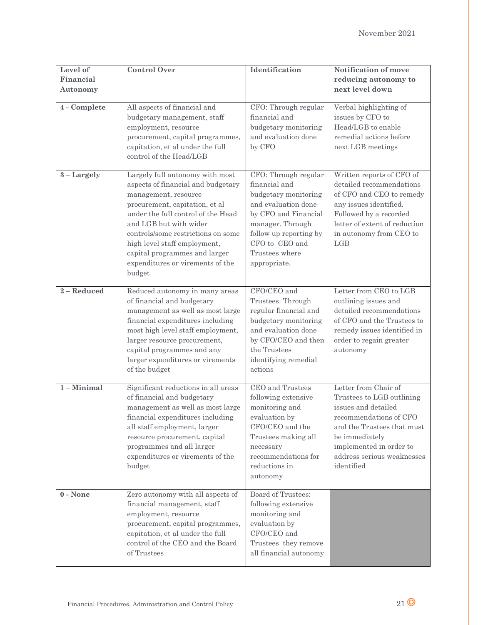| Level of<br>Financial<br>Autonomy | <b>Control Over</b>                                                                                                                                                                                                                                                                                                                                  | Identification                                                                                                                                                                                                 | Notification of move<br>reducing autonomy to<br>next level down                                                                                                                                                           |
|-----------------------------------|------------------------------------------------------------------------------------------------------------------------------------------------------------------------------------------------------------------------------------------------------------------------------------------------------------------------------------------------------|----------------------------------------------------------------------------------------------------------------------------------------------------------------------------------------------------------------|---------------------------------------------------------------------------------------------------------------------------------------------------------------------------------------------------------------------------|
| 4 - Complete                      | All aspects of financial and<br>budgetary management, staff<br>employment, resource<br>procurement, capital programmes,<br>capitation, et al under the full<br>control of the Head/LGB                                                                                                                                                               | CFO: Through regular<br>financial and<br>budgetary monitoring<br>and evaluation done<br>by CFO                                                                                                                 | Verbal highlighting of<br>issues by CFO to<br>Head/LGB to enable<br>remedial actions before<br>next LGB meetings                                                                                                          |
| $3 - Largely$                     | Largely full autonomy with most<br>aspects of financial and budgetary<br>management, resource<br>procurement, capitation, et al<br>under the full control of the Head<br>and LGB but with wider<br>controls/some restrictions on some<br>high level staff employment,<br>capital programmes and larger<br>expenditures or virements of the<br>budget | CFO: Through regular<br>financial and<br>budgetary monitoring<br>and evaluation done<br>by CFO and Financial<br>manager. Through<br>follow up reporting by<br>CFO to CEO and<br>Trustees where<br>appropriate. | Written reports of CFO of<br>detailed recommendations<br>of CFO and CEO to remedy<br>any issues identified.<br>Followed by a recorded<br>letter of extent of reduction<br>in autonomy from CEO to<br>LGB                  |
| 2 - Reduced                       | Reduced autonomy in many areas<br>of financial and budgetary<br>management as well as most large<br>financial expenditures including<br>most high level staff employment,<br>larger resource procurement,<br>capital programmes and any<br>larger expenditures or virements<br>of the budget                                                         | CFO/CEO and<br>Trustees. Through<br>regular financial and<br>budgetary monitoring<br>and evaluation done<br>by CFO/CEO and then<br>the Trustees<br>identifying remedial<br>actions                             | Letter from CEO to LGB<br>outlining issues and<br>detailed recommendations<br>of CFO and the Trustees to<br>remedy issues identified in<br>order to regain greater<br>autonomy                                            |
| $1 -$ Minimal                     | Significant reductions in all areas<br>of financial and budgetary<br>management as well as most large<br>financial expenditures including<br>all staff employment, larger<br>resource procurement, capital<br>programmes and all larger<br>expenditures or virements of the<br>budget                                                                | CEO and Trustees<br>following extensive<br>monitoring and<br>evaluation by<br>CFO/CEO and the<br>Trustees making all<br>necessary<br>recommendations for<br>reductions in<br>autonomy                          | Letter from Chair of<br>Trustees to LGB outlining<br>issues and detailed<br>recommendations of CFO<br>and the Trustees that must<br>be immediately<br>implemented in order to<br>address serious weaknesses<br>identified |
| $0 - None$                        | Zero autonomy with all aspects of<br>financial management, staff<br>employment, resource<br>procurement, capital programmes,<br>capitation, et al under the full<br>control of the CEO and the Board<br>of Trustees                                                                                                                                  | Board of Trustees:<br>following extensive<br>monitoring and<br>evaluation by<br>CFO/CEO and<br>Trustees they remove<br>all financial autonomy                                                                  |                                                                                                                                                                                                                           |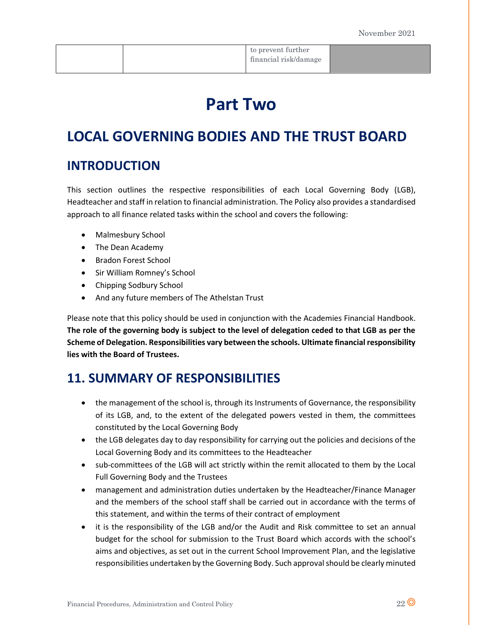|  | to prevent further    |  |
|--|-----------------------|--|
|  | financial risk/damage |  |
|  |                       |  |

# **Part Two**

# **LOCAL GOVERNING BODIES AND THE TRUST BOARD**

# **INTRODUCTION**

This section outlines the respective responsibilities of each Local Governing Body (LGB), Headteacher and staff in relation to financial administration. The Policy also provides a standardised approach to all finance related tasks within the school and covers the following:

- Malmesbury School
- The Dean Academy
- Bradon Forest School
- Sir William Romney's School
- Chipping Sodbury School
- And any future members of The Athelstan Trust

Please note that this policy should be used in conjunction with the Academies Financial Handbook. **The role of the governing body is subject to the level of delegation ceded to that LGB as per the Scheme of Delegation. Responsibilities vary between the schools. Ultimate financial responsibility lies with the Board of Trustees.**

# **11. SUMMARY OF RESPONSIBILITIES**

- the management of the school is, through its Instruments of Governance, the responsibility of its LGB, and, to the extent of the delegated powers vested in them, the committees constituted by the Local Governing Body
- the LGB delegates day to day responsibility for carrying out the policies and decisions of the Local Governing Body and its committees to the Headteacher
- sub-committees of the LGB will act strictly within the remit allocated to them by the Local Full Governing Body and the Trustees
- management and administration duties undertaken by the Headteacher/Finance Manager and the members of the school staff shall be carried out in accordance with the terms of this statement, and within the terms of their contract of employment
- it is the responsibility of the LGB and/or the Audit and Risk committee to set an annual budget for the school for submission to the Trust Board which accords with the school's aims and objectives, as set out in the current School Improvement Plan, and the legislative responsibilities undertaken by the Governing Body. Such approval should be clearly minuted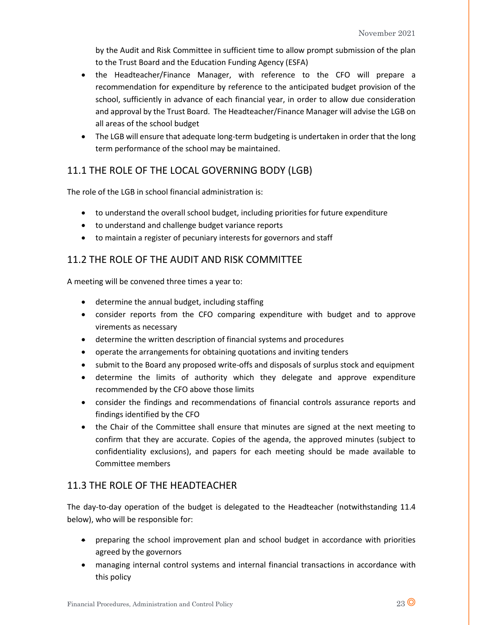by the Audit and Risk Committee in sufficient time to allow prompt submission of the plan to the Trust Board and the Education Funding Agency (ESFA)

- the Headteacher/Finance Manager, with reference to the CFO will prepare a recommendation for expenditure by reference to the anticipated budget provision of the school, sufficiently in advance of each financial year, in order to allow due consideration and approval by the Trust Board. The Headteacher/Finance Manager will advise the LGB on all areas of the school budget
- The LGB will ensure that adequate long-term budgeting is undertaken in order that the long term performance of the school may be maintained.

## 11.1 THE ROLE OF THE LOCAL GOVERNING BODY (LGB)

The role of the LGB in school financial administration is:

- to understand the overall school budget, including priorities for future expenditure
- to understand and challenge budget variance reports
- to maintain a register of pecuniary interests for governors and staff

## 11.2 THE ROLE OF THE AUDIT AND RISK COMMITTEE

A meeting will be convened three times a year to:

- determine the annual budget, including staffing
- consider reports from the CFO comparing expenditure with budget and to approve virements as necessary
- determine the written description of financial systems and procedures
- operate the arrangements for obtaining quotations and inviting tenders
- submit to the Board any proposed write-offs and disposals of surplus stock and equipment
- determine the limits of authority which they delegate and approve expenditure recommended by the CFO above those limits
- consider the findings and recommendations of financial controls assurance reports and findings identified by the CFO
- the Chair of the Committee shall ensure that minutes are signed at the next meeting to confirm that they are accurate. Copies of the agenda, the approved minutes (subject to confidentiality exclusions), and papers for each meeting should be made available to Committee members

## 11.3 THE ROLE OF THE HEADTEACHER

The day-to-day operation of the budget is delegated to the Headteacher (notwithstanding 11.4 below), who will be responsible for:

- preparing the school improvement plan and school budget in accordance with priorities agreed by the governors
- managing internal control systems and internal financial transactions in accordance with this policy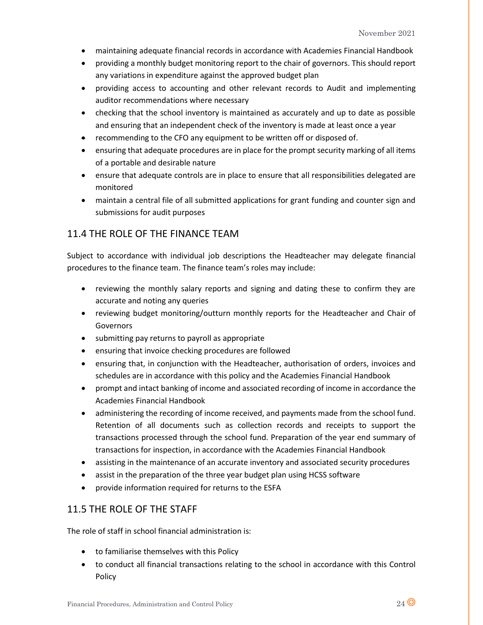- maintaining adequate financial records in accordance with Academies Financial Handbook
- providing a monthly budget monitoring report to the chair of governors. This should report any variations in expenditure against the approved budget plan
- providing access to accounting and other relevant records to Audit and implementing auditor recommendations where necessary
- checking that the school inventory is maintained as accurately and up to date as possible and ensuring that an independent check of the inventory is made at least once a year
- recommending to the CFO any equipment to be written off or disposed of.
- ensuring that adequate procedures are in place for the prompt security marking of all items of a portable and desirable nature
- ensure that adequate controls are in place to ensure that all responsibilities delegated are monitored
- maintain a central file of all submitted applications for grant funding and counter sign and submissions for audit purposes

### 11.4 THE ROLE OF THE FINANCE TEAM

Subject to accordance with individual job descriptions the Headteacher may delegate financial procedures to the finance team. The finance team's roles may include:

- reviewing the monthly salary reports and signing and dating these to confirm they are accurate and noting any queries
- reviewing budget monitoring/outturn monthly reports for the Headteacher and Chair of Governors
- submitting pay returns to payroll as appropriate
- ensuring that invoice checking procedures are followed
- ensuring that, in conjunction with the Headteacher, authorisation of orders, invoices and schedules are in accordance with this policy and the Academies Financial Handbook
- prompt and intact banking of income and associated recording of income in accordance the Academies Financial Handbook
- administering the recording of income received, and payments made from the school fund. Retention of all documents such as collection records and receipts to support the transactions processed through the school fund. Preparation of the year end summary of transactions for inspection, in accordance with the Academies Financial Handbook
- assisting in the maintenance of an accurate inventory and associated security procedures
- assist in the preparation of the three year budget plan using HCSS software
- provide information required for returns to the ESFA

## 11.5 THE ROLE OF THE STAFF

The role of staff in school financial administration is:

- to familiarise themselves with this Policy
- to conduct all financial transactions relating to the school in accordance with this Control Policy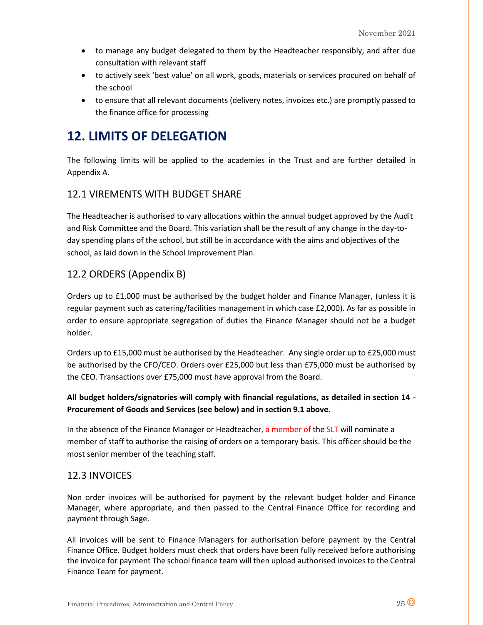- to manage any budget delegated to them by the Headteacher responsibly, and after due consultation with relevant staff
- to actively seek 'best value' on all work, goods, materials or services procured on behalf of the school
- to ensure that all relevant documents (delivery notes, invoices etc.) are promptly passed to the finance office for processing

# **12. LIMITS OF DELEGATION**

The following limits will be applied to the academies in the Trust and are further detailed in Appendix A.

## 12.1 VIREMENTS WITH BUDGET SHARE

The Headteacher is authorised to vary allocations within the annual budget approved by the Audit and Risk Committee and the Board. This variation shall be the result of any change in the day-today spending plans of the school, but still be in accordance with the aims and objectives of the school, as laid down in the School Improvement Plan.

## 12.2 ORDERS (Appendix B)

Orders up to £1,000 must be authorised by the budget holder and Finance Manager, (unless it is regular payment such as catering/facilities management in which case £2,000). As far as possible in order to ensure appropriate segregation of duties the Finance Manager should not be a budget holder.

Orders up to £15,000 must be authorised by the Headteacher. Any single order up to £25,000 must be authorised by the CFO/CEO. Orders over £25,000 but less than £75,000 must be authorised by the CEO. Transactions over £75,000 must have approval from the Board.

## **All budget holders/signatories will comply with financial regulations, as detailed in section 14 - Procurement of Goods and Services (see below) and in section 9.1 above.**

In the absence of the Finance Manager or Headteacher, a member of the SLT will nominate a member of staff to authorise the raising of orders on a temporary basis. This officer should be the most senior member of the teaching staff.

## 12.3 INVOICES

Non order invoices will be authorised for payment by the relevant budget holder and Finance Manager, where appropriate, and then passed to the Central Finance Office for recording and payment through Sage.

All invoices will be sent to Finance Managers for authorisation before payment by the Central Finance Office. Budget holders must check that orders have been fully received before authorising the invoice for payment The school finance team will then upload authorised invoices to the Central Finance Team for payment.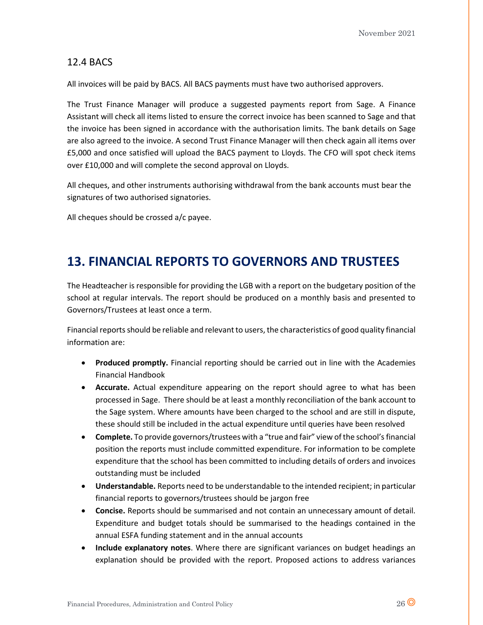### 12.4 BACS

All invoices will be paid by BACS. All BACS payments must have two authorised approvers.

The Trust Finance Manager will produce a suggested payments report from Sage. A Finance Assistant will check all items listed to ensure the correct invoice has been scanned to Sage and that the invoice has been signed in accordance with the authorisation limits. The bank details on Sage are also agreed to the invoice. A second Trust Finance Manager will then check again all items over £5,000 and once satisfied will upload the BACS payment to Lloyds. The CFO will spot check items over £10,000 and will complete the second approval on Lloyds.

All cheques, and other instruments authorising withdrawal from the bank accounts must bear the signatures of two authorised signatories.

All cheques should be crossed a/c payee.

# **13. FINANCIAL REPORTS TO GOVERNORS AND TRUSTEES**

The Headteacher is responsible for providing the LGB with a report on the budgetary position of the school at regular intervals. The report should be produced on a monthly basis and presented to Governors/Trustees at least once a term.

Financial reports should be reliable and relevant to users, the characteristics of good quality financial information are:

- **Produced promptly.** Financial reporting should be carried out in line with the Academies Financial Handbook
- **Accurate.** Actual expenditure appearing on the report should agree to what has been processed in Sage. There should be at least a monthly reconciliation of the bank account to the Sage system. Where amounts have been charged to the school and are still in dispute, these should still be included in the actual expenditure until queries have been resolved
- **Complete.** To provide governors/trustees with a "true and fair" view of the school's financial position the reports must include committed expenditure. For information to be complete expenditure that the school has been committed to including details of orders and invoices outstanding must be included
- **Understandable.** Reports need to be understandable to the intended recipient; in particular financial reports to governors/trustees should be jargon free
- **Concise.** Reports should be summarised and not contain an unnecessary amount of detail. Expenditure and budget totals should be summarised to the headings contained in the annual ESFA funding statement and in the annual accounts
- **Include explanatory notes**. Where there are significant variances on budget headings an explanation should be provided with the report. Proposed actions to address variances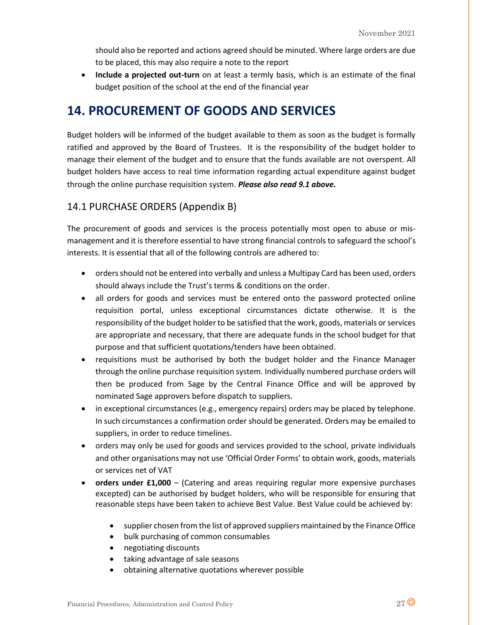should also be reported and actions agreed should be minuted. Where large orders are due to be placed, this may also require a note to the report

• **Include a projected out-turn** on at least a termly basis, which is an estimate of the final budget position of the school at the end of the financial year

# **14. PROCUREMENT OF GOODS AND SERVICES**

Budget holders will be informed of the budget available to them as soon as the budget is formally ratified and approved by the Board of Trustees. It is the responsibility of the budget holder to manage their element of the budget and to ensure that the funds available are not overspent. All budget holders have access to real time information regarding actual expenditure against budget through the online purchase requisition system. *Please also read 9.1 above.*

## 14.1 PURCHASE ORDERS (Appendix B)

The procurement of goods and services is the process potentially most open to abuse or mismanagement and it is therefore essential to have strong financial controls to safeguard the school's interests. It is essential that all of the following controls are adhered to:

- orders should not be entered into verbally and unless a Multipay Card has been used, orders should always include the Trust's terms & conditions on the order.
- all orders for goods and services must be entered onto the password protected online requisition portal, unless exceptional circumstances dictate otherwise. It is the responsibility of the budget holder to be satisfied that the work, goods, materials or services are appropriate and necessary, that there are adequate funds in the school budget for that purpose and that sufficient quotations/tenders have been obtained.
- requisitions must be authorised by both the budget holder and the Finance Manager through the online purchase requisition system. Individually numbered purchase orders will then be produced from Sage by the Central Finance Office and will be approved by nominated Sage approvers before dispatch to suppliers.
- in exceptional circumstances (e.g., emergency repairs) orders may be placed by telephone. In such circumstances a confirmation order should be generated. Orders may be emailed to suppliers, in order to reduce timelines.
- orders may only be used for goods and services provided to the school, private individuals and other organisations may not use 'Official Order Forms' to obtain work, goods, materials or services net of VAT
- **orders under £1,000** (Catering and areas requiring regular more expensive purchases excepted) can be authorised by budget holders, who will be responsible for ensuring that reasonable steps have been taken to achieve Best Value. Best Value could be achieved by:
	- supplier chosen from the list of approved suppliers maintained by the Finance Office
	- bulk purchasing of common consumables
	- negotiating discounts
	- taking advantage of sale seasons
	- obtaining alternative quotations wherever possible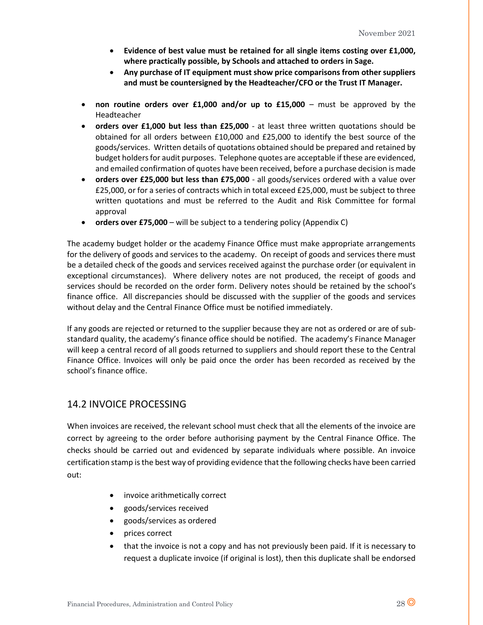- **Evidence of best value must be retained for all single items costing over £1,000, where practically possible, by Schools and attached to orders in Sage.**
- **Any purchase of IT equipment must show price comparisons from other suppliers and must be countersigned by the Headteacher/CFO or the Trust IT Manager.**
- **non routine orders over £1,000 and/or up to £15,000** must be approved by the Headteacher
- **orders over £1,000 but less than £25,000** at least three written quotations should be obtained for all orders between £10,000 and £25,000 to identify the best source of the goods/services. Written details of quotations obtained should be prepared and retained by budget holders for audit purposes. Telephone quotes are acceptable if these are evidenced, and emailed confirmation of quotes have been received, before a purchase decision is made
- **orders over £25,000 but less than £75,000**  all goods/services ordered with a value over £25,000, or for a series of contracts which in total exceed £25,000, must be subject to three written quotations and must be referred to the Audit and Risk Committee for formal approval
- **orders over £75,000**  will be subject to a tendering policy (Appendix C)

The academy budget holder or the academy Finance Office must make appropriate arrangements for the delivery of goods and services to the academy. On receipt of goods and services there must be a detailed check of the goods and services received against the purchase order (or equivalent in exceptional circumstances). Where delivery notes are not produced, the receipt of goods and services should be recorded on the order form. Delivery notes should be retained by the school's finance office. All discrepancies should be discussed with the supplier of the goods and services without delay and the Central Finance Office must be notified immediately.

If any goods are rejected or returned to the supplier because they are not as ordered or are of substandard quality, the academy's finance office should be notified. The academy's Finance Manager will keep a central record of all goods returned to suppliers and should report these to the Central Finance Office. Invoices will only be paid once the order has been recorded as received by the school's finance office.

## 14.2 INVOICE PROCESSING

When invoices are received, the relevant school must check that all the elements of the invoice are correct by agreeing to the order before authorising payment by the Central Finance Office. The checks should be carried out and evidenced by separate individuals where possible. An invoice certification stamp is the best way of providing evidence that the following checks have been carried out:

- invoice arithmetically correct
- goods/services received
- goods/services as ordered
- prices correct
- that the invoice is not a copy and has not previously been paid. If it is necessary to request a duplicate invoice (if original is lost), then this duplicate shall be endorsed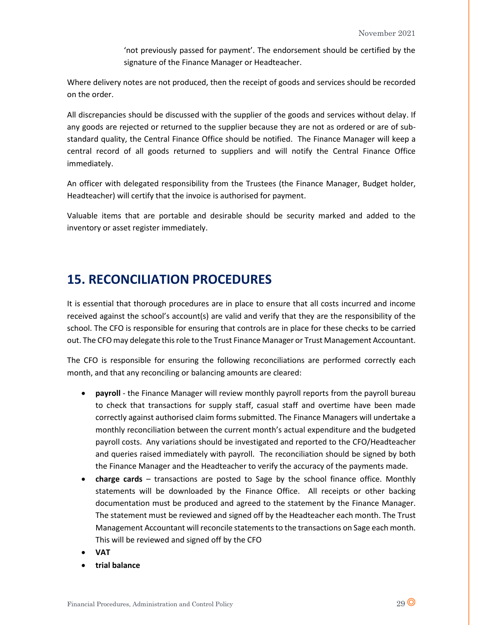'not previously passed for payment'. The endorsement should be certified by the signature of the Finance Manager or Headteacher.

Where delivery notes are not produced, then the receipt of goods and services should be recorded on the order.

All discrepancies should be discussed with the supplier of the goods and services without delay. If any goods are rejected or returned to the supplier because they are not as ordered or are of substandard quality, the Central Finance Office should be notified. The Finance Manager will keep a central record of all goods returned to suppliers and will notify the Central Finance Office immediately.

An officer with delegated responsibility from the Trustees (the Finance Manager, Budget holder, Headteacher) will certify that the invoice is authorised for payment.

Valuable items that are portable and desirable should be security marked and added to the inventory or asset register immediately.

# **15. RECONCILIATION PROCEDURES**

It is essential that thorough procedures are in place to ensure that all costs incurred and income received against the school's account(s) are valid and verify that they are the responsibility of the school. The CFO is responsible for ensuring that controls are in place for these checks to be carried out. The CFO may delegate this role to the Trust Finance Manager or Trust Management Accountant.

The CFO is responsible for ensuring the following reconciliations are performed correctly each month, and that any reconciling or balancing amounts are cleared:

- **payroll** the Finance Manager will review monthly payroll reports from the payroll bureau to check that transactions for supply staff, casual staff and overtime have been made correctly against authorised claim forms submitted. The Finance Managers will undertake a monthly reconciliation between the current month's actual expenditure and the budgeted payroll costs. Any variations should be investigated and reported to the CFO/Headteacher and queries raised immediately with payroll. The reconciliation should be signed by both the Finance Manager and the Headteacher to verify the accuracy of the payments made.
- **charge cards** transactions are posted to Sage by the school finance office. Monthly statements will be downloaded by the Finance Office. All receipts or other backing documentation must be produced and agreed to the statement by the Finance Manager. The statement must be reviewed and signed off by the Headteacher each month. The Trust Management Accountant will reconcile statements to the transactions on Sage each month. This will be reviewed and signed off by the CFO
- **VAT**
- **trial balance**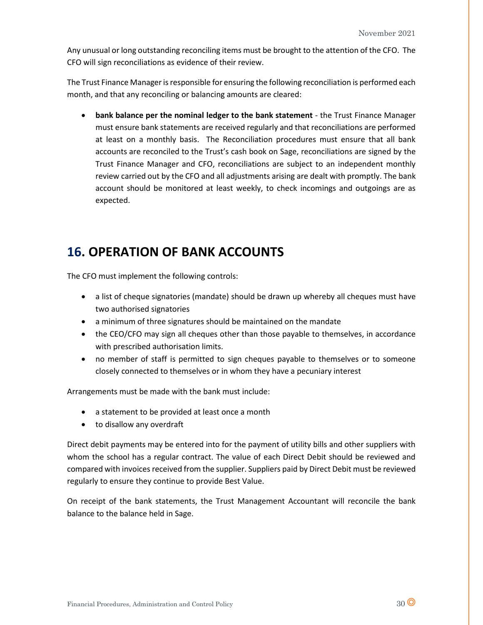Any unusual or long outstanding reconciling items must be brought to the attention of the CFO. The CFO will sign reconciliations as evidence of their review.

The Trust Finance Manager is responsible for ensuring the following reconciliation is performed each month, and that any reconciling or balancing amounts are cleared:

• **bank balance per the nominal ledger to the bank statement** - the Trust Finance Manager must ensure bank statements are received regularly and that reconciliations are performed at least on a monthly basis. The Reconciliation procedures must ensure that all bank accounts are reconciled to the Trust's cash book on Sage, reconciliations are signed by the Trust Finance Manager and CFO, reconciliations are subject to an independent monthly review carried out by the CFO and all adjustments arising are dealt with promptly. The bank account should be monitored at least weekly, to check incomings and outgoings are as expected.

# **16. OPERATION OF BANK ACCOUNTS**

The CFO must implement the following controls:

- a list of cheque signatories (mandate) should be drawn up whereby all cheques must have two authorised signatories
- a minimum of three signatures should be maintained on the mandate
- the CEO/CFO may sign all cheques other than those payable to themselves, in accordance with prescribed authorisation limits.
- no member of staff is permitted to sign cheques payable to themselves or to someone closely connected to themselves or in whom they have a pecuniary interest

Arrangements must be made with the bank must include:

- a statement to be provided at least once a month
- to disallow any overdraft

Direct debit payments may be entered into for the payment of utility bills and other suppliers with whom the school has a regular contract. The value of each Direct Debit should be reviewed and compared with invoices received from the supplier. Suppliers paid by Direct Debit must be reviewed regularly to ensure they continue to provide Best Value.

On receipt of the bank statements, the Trust Management Accountant will reconcile the bank balance to the balance held in Sage.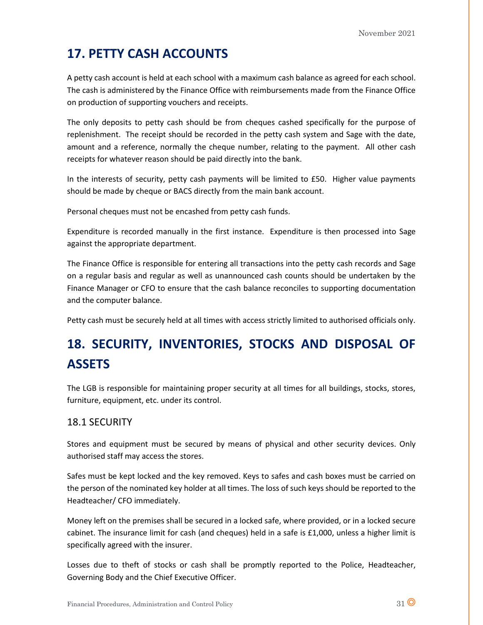# **17. PETTY CASH ACCOUNTS**

A petty cash account is held at each school with a maximum cash balance as agreed for each school. The cash is administered by the Finance Office with reimbursements made from the Finance Office on production of supporting vouchers and receipts.

The only deposits to petty cash should be from cheques cashed specifically for the purpose of replenishment. The receipt should be recorded in the petty cash system and Sage with the date, amount and a reference, normally the cheque number, relating to the payment. All other cash receipts for whatever reason should be paid directly into the bank.

In the interests of security, petty cash payments will be limited to £50. Higher value payments should be made by cheque or BACS directly from the main bank account.

Personal cheques must not be encashed from petty cash funds.

Expenditure is recorded manually in the first instance. Expenditure is then processed into Sage against the appropriate department.

The Finance Office is responsible for entering all transactions into the petty cash records and Sage on a regular basis and regular as well as unannounced cash counts should be undertaken by the Finance Manager or CFO to ensure that the cash balance reconciles to supporting documentation and the computer balance.

Petty cash must be securely held at all times with access strictly limited to authorised officials only.

# **18. SECURITY, INVENTORIES, STOCKS AND DISPOSAL OF ASSETS**

The LGB is responsible for maintaining proper security at all times for all buildings, stocks, stores, furniture, equipment, etc. under its control.

## 18.1 SECURITY

Stores and equipment must be secured by means of physical and other security devices. Only authorised staff may access the stores.

Safes must be kept locked and the key removed. Keys to safes and cash boxes must be carried on the person of the nominated key holder at all times. The loss of such keys should be reported to the Headteacher/ CFO immediately.

Money left on the premises shall be secured in a locked safe, where provided, or in a locked secure cabinet. The insurance limit for cash (and cheques) held in a safe is £1,000, unless a higher limit is specifically agreed with the insurer.

Losses due to theft of stocks or cash shall be promptly reported to the Police, Headteacher, Governing Body and the Chief Executive Officer.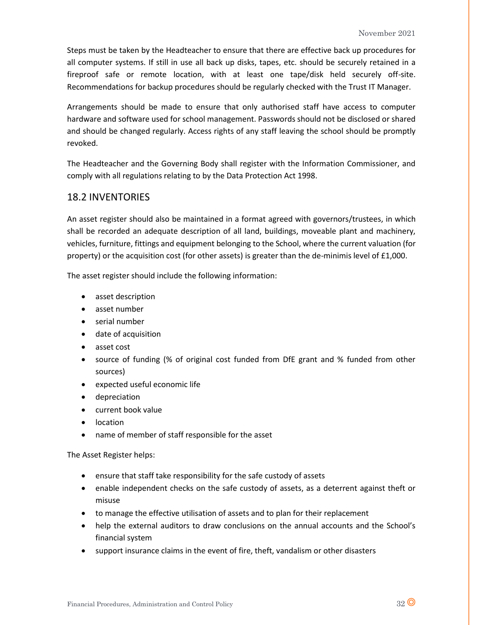Steps must be taken by the Headteacher to ensure that there are effective back up procedures for all computer systems. If still in use all back up disks, tapes, etc. should be securely retained in a fireproof safe or remote location, with at least one tape/disk held securely off-site. Recommendations for backup procedures should be regularly checked with the Trust IT Manager.

Arrangements should be made to ensure that only authorised staff have access to computer hardware and software used for school management. Passwords should not be disclosed or shared and should be changed regularly. Access rights of any staff leaving the school should be promptly revoked.

The Headteacher and the Governing Body shall register with the Information Commissioner, and comply with all regulations relating to by the Data Protection Act 1998.

## 18.2 INVENTORIES

An asset register should also be maintained in a format agreed with governors/trustees, in which shall be recorded an adequate description of all land, buildings, moveable plant and machinery, vehicles, furniture, fittings and equipment belonging to the School, where the current valuation (for property) or the acquisition cost (for other assets) is greater than the de-minimis level of £1,000.

The asset register should include the following information:

- asset description
- asset number
- serial number
- date of acquisition
- asset cost
- source of funding (% of original cost funded from DfE grant and % funded from other sources)
- expected useful economic life
- depreciation
- current book value
- location
- name of member of staff responsible for the asset

The Asset Register helps:

- ensure that staff take responsibility for the safe custody of assets
- enable independent checks on the safe custody of assets, as a deterrent against theft or misuse
- to manage the effective utilisation of assets and to plan for their replacement
- help the external auditors to draw conclusions on the annual accounts and the School's financial system
- support insurance claims in the event of fire, theft, vandalism or other disasters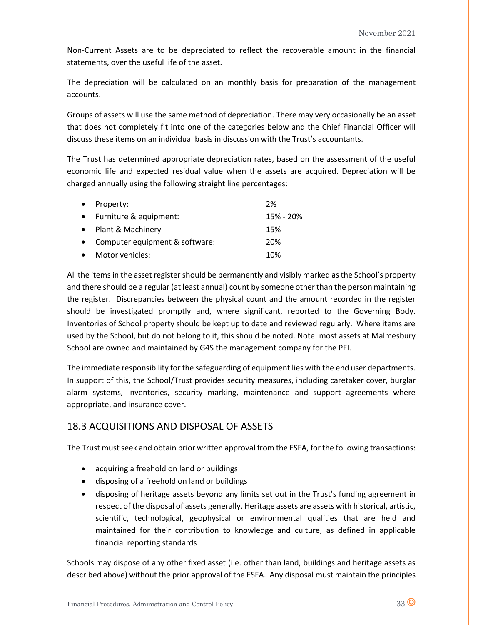Non-Current Assets are to be depreciated to reflect the recoverable amount in the financial statements, over the useful life of the asset.

The depreciation will be calculated on an monthly basis for preparation of the management accounts.

Groups of assets will use the same method of depreciation. There may very occasionally be an asset that does not completely fit into one of the categories below and the Chief Financial Officer will discuss these items on an individual basis in discussion with the Trust's accountants.

The Trust has determined appropriate depreciation rates, based on the assessment of the useful economic life and expected residual value when the assets are acquired. Depreciation will be charged annually using the following straight line percentages:

| $\bullet$ | Property:                      | 2%        |
|-----------|--------------------------------|-----------|
|           | Furniture & equipment:         | 15% - 20% |
|           | Plant & Machinery              | 15%       |
|           | Computer equipment & software: | 20%       |
|           | Motor vehicles:                | 10%       |

All the items in the asset register should be permanently and visibly marked as the School's property and there should be a regular (at least annual) count by someone other than the person maintaining the register. Discrepancies between the physical count and the amount recorded in the register should be investigated promptly and, where significant, reported to the Governing Body. Inventories of School property should be kept up to date and reviewed regularly. Where items are used by the School, but do not belong to it, this should be noted. Note: most assets at Malmesbury School are owned and maintained by G4S the management company for the PFI.

The immediate responsibility for the safeguarding of equipment lies with the end user departments. In support of this, the School/Trust provides security measures, including caretaker cover, burglar alarm systems, inventories, security marking, maintenance and support agreements where appropriate, and insurance cover.

## 18.3 ACQUISITIONS AND DISPOSAL OF ASSETS

The Trust must seek and obtain prior written approval from the ESFA, for the following transactions:

- acquiring a freehold on land or buildings
- disposing of a freehold on land or buildings
- disposing of heritage assets beyond any limits set out in the Trust's funding agreement in respect of the disposal of assets generally. Heritage assets are assets with historical, artistic, scientific, technological, geophysical or environmental qualities that are held and maintained for their contribution to knowledge and culture, as defined in applicable financial reporting standards

Schools may dispose of any other fixed asset (i.e. other than land, buildings and heritage assets as described above) without the prior approval of the ESFA. Any disposal must maintain the principles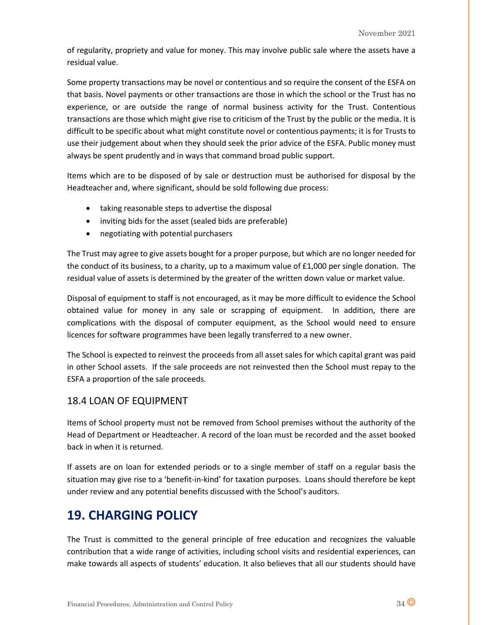of regularity, propriety and value for money. This may involve public sale where the assets have a residual value.

Some property transactions may be novel or contentious and so require the consent of the ESFA on that basis. Novel payments or other transactions are those in which the school or the Trust has no experience, or are outside the range of normal business activity for the Trust. Contentious transactions are those which might give rise to criticism of the Trust by the public or the media. It is difficult to be specific about what might constitute novel or contentious payments; it is for Trusts to use their judgement about when they should seek the prior advice of the ESFA. Public money must always be spent prudently and in ways that command broad public support.

Items which are to be disposed of by sale or destruction must be authorised for disposal by the Headteacher and, where significant, should be sold following due process:

- taking reasonable steps to advertise the disposal
- inviting bids for the asset (sealed bids are preferable)
- negotiating with potential purchasers

The Trust may agree to give assets bought for a proper purpose, but which are no longer needed for the conduct of its business, to a charity, up to a maximum value of £1,000 per single donation. The residual value of assets is determined by the greater of the written down value or market value.

Disposal of equipment to staff is not encouraged, as it may be more difficult to evidence the School obtained value for money in any sale or scrapping of equipment. In addition, there are complications with the disposal of computer equipment, as the School would need to ensure licences for software programmes have been legally transferred to a new owner.

The School is expected to reinvest the proceeds from all asset sales for which capital grant was paid in other School assets. If the sale proceeds are not reinvested then the School must repay to the ESFA a proportion of the sale proceeds.

## 18.4 LOAN OF EQUIPMENT

Items of School property must not be removed from School premises without the authority of the Head of Department or Headteacher. A record of the loan must be recorded and the asset booked back in when it is returned.

If assets are on loan for extended periods or to a single member of staff on a regular basis the situation may give rise to a 'benefit-in-kind' for taxation purposes. Loans should therefore be kept under review and any potential benefits discussed with the School's auditors.

# **19. CHARGING POLICY**

The Trust is committed to the general principle of free education and recognizes the valuable contribution that a wide range of activities, including school visits and residential experiences, can make towards all aspects of students' education. It also believes that all our students should have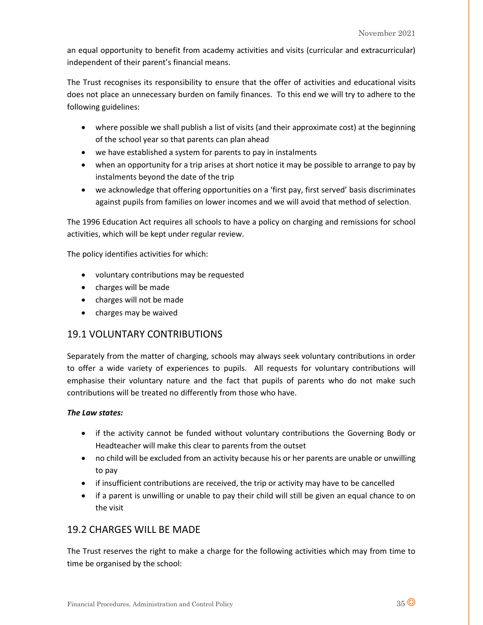an equal opportunity to benefit from academy activities and visits (curricular and extracurricular) independent of their parent's financial means.

The Trust recognises its responsibility to ensure that the offer of activities and educational visits does not place an unnecessary burden on family finances. To this end we will try to adhere to the following guidelines:

- where possible we shall publish a list of visits (and their approximate cost) at the beginning of the school year so that parents can plan ahead
- we have established a system for parents to pay in instalments
- when an opportunity for a trip arises at short notice it may be possible to arrange to pay by instalments beyond the date of the trip
- we acknowledge that offering opportunities on a 'first pay, first served' basis discriminates against pupils from families on lower incomes and we will avoid that method of selection.

The 1996 Education Act requires all schools to have a policy on charging and remissions for school activities, which will be kept under regular review.

The policy identifies activities for which:

- voluntary contributions may be requested
- charges will be made
- charges will not be made
- charges may be waived

## 19.1 VOLUNTARY CONTRIBUTIONS

Separately from the matter of charging, schools may always seek voluntary contributions in order to offer a wide variety of experiences to pupils. All requests for voluntary contributions will emphasise their voluntary nature and the fact that pupils of parents who do not make such contributions will be treated no differently from those who have.

### *The Law states:*

- if the activity cannot be funded without voluntary contributions the Governing Body or Headteacher will make this clear to parents from the outset
- no child will be excluded from an activity because his or her parents are unable or unwilling to pay
- if insufficient contributions are received, the trip or activity may have to be cancelled
- if a parent is unwilling or unable to pay their child will still be given an equal chance to on the visit

## 19.2 CHARGES WILL BE MADE

The Trust reserves the right to make a charge for the following activities which may from time to time be organised by the school: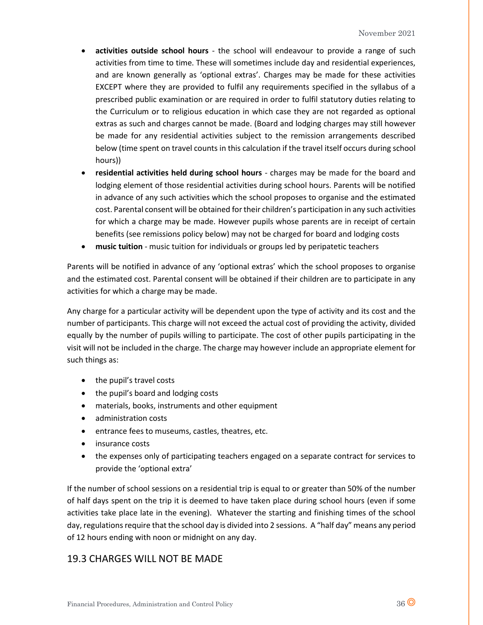- **activities outside school hours** the school will endeavour to provide a range of such activities from time to time. These will sometimes include day and residential experiences, and are known generally as 'optional extras'. Charges may be made for these activities EXCEPT where they are provided to fulfil any requirements specified in the syllabus of a prescribed public examination or are required in order to fulfil statutory duties relating to the Curriculum or to religious education in which case they are not regarded as optional extras as such and charges cannot be made. (Board and lodging charges may still however be made for any residential activities subject to the remission arrangements described below (time spent on travel counts in this calculation if the travel itself occurs during school hours))
- **residential activities held during school hours**  charges may be made for the board and lodging element of those residential activities during school hours. Parents will be notified in advance of any such activities which the school proposes to organise and the estimated cost. Parental consent will be obtained for their children's participation in any such activities for which a charge may be made. However pupils whose parents are in receipt of certain benefits (see remissions policy below) may not be charged for board and lodging costs
- **music tuition**  music tuition for individuals or groups led by peripatetic teachers

Parents will be notified in advance of any 'optional extras' which the school proposes to organise and the estimated cost. Parental consent will be obtained if their children are to participate in any activities for which a charge may be made.

Any charge for a particular activity will be dependent upon the type of activity and its cost and the number of participants. This charge will not exceed the actual cost of providing the activity, divided equally by the number of pupils willing to participate. The cost of other pupils participating in the visit will not be included in the charge. The charge may however include an appropriate element for such things as:

- the pupil's travel costs
- the pupil's board and lodging costs
- materials, books, instruments and other equipment
- administration costs
- entrance fees to museums, castles, theatres, etc.
- insurance costs
- the expenses only of participating teachers engaged on a separate contract for services to provide the 'optional extra'

If the number of school sessions on a residential trip is equal to or greater than 50% of the number of half days spent on the trip it is deemed to have taken place during school hours (even if some activities take place late in the evening). Whatever the starting and finishing times of the school day, regulations require that the school day is divided into 2 sessions. A "half day" means any period of 12 hours ending with noon or midnight on any day.

## 19.3 CHARGES WILL NOT BE MADE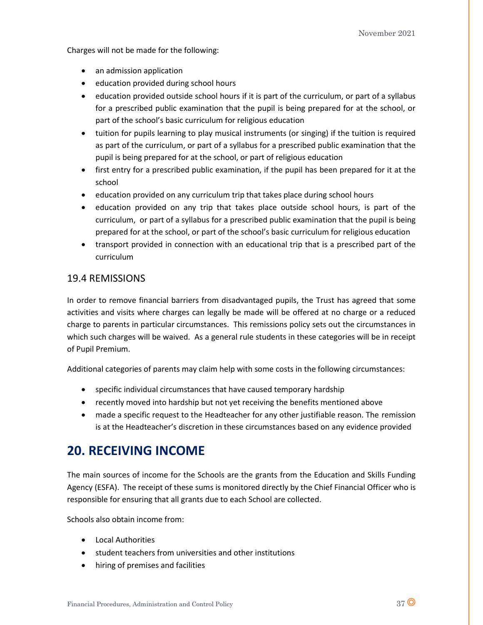Charges will not be made for the following:

- an admission application
- education provided during school hours
- education provided outside school hours if it is part of the curriculum, or part of a syllabus for a prescribed public examination that the pupil is being prepared for at the school, or part of the school's basic curriculum for religious education
- tuition for pupils learning to play musical instruments (or singing) if the tuition is required as part of the curriculum, or part of a syllabus for a prescribed public examination that the pupil is being prepared for at the school, or part of religious education
- first entry for a prescribed public examination, if the pupil has been prepared for it at the school
- education provided on any curriculum trip that takes place during school hours
- education provided on any trip that takes place outside school hours, is part of the curriculum, or part of a syllabus for a prescribed public examination that the pupil is being prepared for at the school, or part of the school's basic curriculum for religious education
- transport provided in connection with an educational trip that is a prescribed part of the curriculum

## 19.4 REMISSIONS

In order to remove financial barriers from disadvantaged pupils, the Trust has agreed that some activities and visits where charges can legally be made will be offered at no charge or a reduced charge to parents in particular circumstances. This remissions policy sets out the circumstances in which such charges will be waived. As a general rule students in these categories will be in receipt of Pupil Premium.

Additional categories of parents may claim help with some costs in the following circumstances:

- specific individual circumstances that have caused temporary hardship
- recently moved into hardship but not yet receiving the benefits mentioned above
- made a specific request to the Headteacher for any other justifiable reason. The remission is at the Headteacher's discretion in these circumstances based on any evidence provided

## **20. RECEIVING INCOME**

The main sources of income for the Schools are the grants from the Education and Skills Funding Agency (ESFA). The receipt of these sums is monitored directly by the Chief Financial Officer who is responsible for ensuring that all grants due to each School are collected.

Schools also obtain income from:

- Local Authorities
- student teachers from universities and other institutions
- hiring of premises and facilities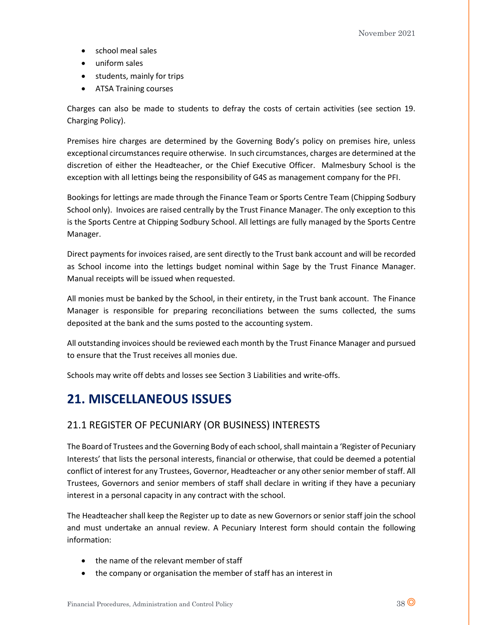- school meal sales
- uniform sales
- students, mainly for trips
- ATSA Training courses

Charges can also be made to students to defray the costs of certain activities (see section 19. Charging Policy).

Premises hire charges are determined by the Governing Body's policy on premises hire, unless exceptional circumstances require otherwise. In such circumstances, charges are determined at the discretion of either the Headteacher, or the Chief Executive Officer. Malmesbury School is the exception with all lettings being the responsibility of G4S as management company for the PFI.

Bookings for lettings are made through the Finance Team or Sports Centre Team (Chipping Sodbury School only). Invoices are raised centrally by the Trust Finance Manager. The only exception to this is the Sports Centre at Chipping Sodbury School. All lettings are fully managed by the Sports Centre Manager.

Direct payments for invoices raised, are sent directly to the Trust bank account and will be recorded as School income into the lettings budget nominal within Sage by the Trust Finance Manager. Manual receipts will be issued when requested.

All monies must be banked by the School, in their entirety, in the Trust bank account. The Finance Manager is responsible for preparing reconciliations between the sums collected, the sums deposited at the bank and the sums posted to the accounting system.

All outstanding invoices should be reviewed each month by the Trust Finance Manager and pursued to ensure that the Trust receives all monies due.

Schools may write off debts and losses see Section 3 Liabilities and write-offs.

# **21. MISCELLANEOUS ISSUES**

## 21.1 REGISTER OF PECUNIARY (OR BUSINESS) INTERESTS

The Board of Trustees and the Governing Body of each school, shall maintain a 'Register of Pecuniary Interests' that lists the personal interests, financial or otherwise, that could be deemed a potential conflict of interest for any Trustees, Governor, Headteacher or any other senior member of staff. All Trustees, Governors and senior members of staff shall declare in writing if they have a pecuniary interest in a personal capacity in any contract with the school.

The Headteacher shall keep the Register up to date as new Governors or senior staff join the school and must undertake an annual review. A Pecuniary Interest form should contain the following information:

- the name of the relevant member of staff
- the company or organisation the member of staff has an interest in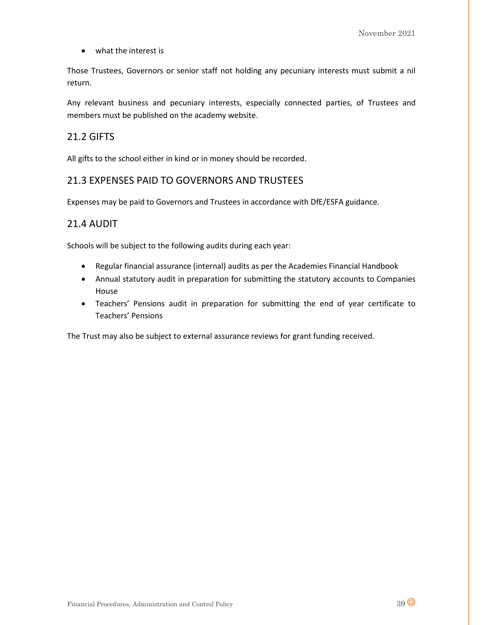• what the interest is

Those Trustees, Governors or senior staff not holding any pecuniary interests must submit a nil return.

Any relevant business and pecuniary interests, especially connected parties, of Trustees and members must be published on the academy website.

## 21.2 GIFTS

All gifts to the school either in kind or in money should be recorded.

## 21.3 EXPENSES PAID TO GOVERNORS AND TRUSTEES

Expenses may be paid to Governors and Trustees in accordance with DfE/ESFA guidance.

## 21.4 AUDIT

Schools will be subject to the following audits during each year:

- Regular financial assurance (internal) audits as per the Academies Financial Handbook
- Annual statutory audit in preparation for submitting the statutory accounts to Companies House
- Teachers' Pensions audit in preparation for submitting the end of year certificate to Teachers' Pensions

The Trust may also be subject to external assurance reviews for grant funding received.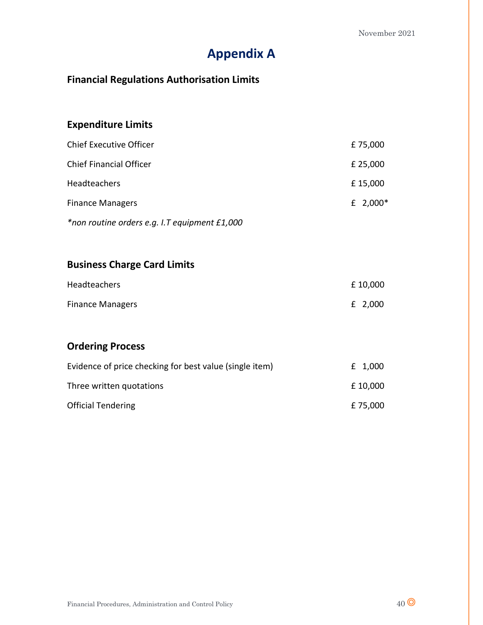# **Appendix A**

# **Financial Regulations Authorisation Limits**

# **Expenditure Limits**

| <b>Chief Executive Officer</b> | £75,000    |
|--------------------------------|------------|
| <b>Chief Financial Officer</b> | £ 25,000   |
| Headteachers                   | £15,000    |
| <b>Finance Managers</b>        | £ $2,000*$ |
|                                |            |

*\*non routine orders e.g. I.T equipment £1,000*

## **Business Charge Card Limits**

| Headteachers            | £10,000   |
|-------------------------|-----------|
| <b>Finance Managers</b> | $£$ 2,000 |

## **Ordering Process**

| Evidence of price checking for best value (single item) | £ 1,000  |
|---------------------------------------------------------|----------|
| Three written quotations                                | £10,000  |
| <b>Official Tendering</b>                               | £ 75,000 |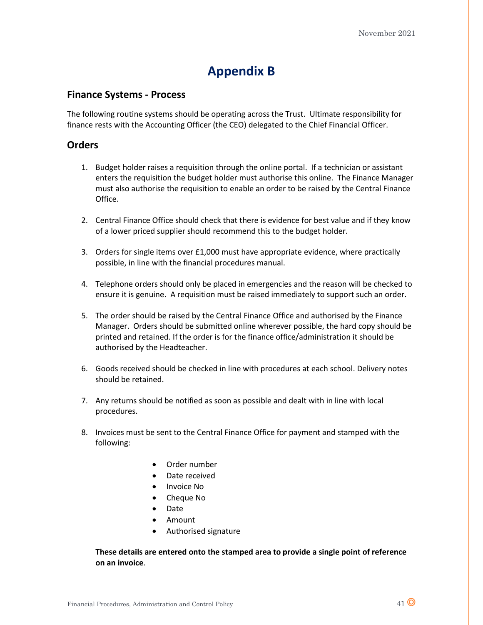# **Appendix B**

## **Finance Systems - Process**

The following routine systems should be operating across the Trust. Ultimate responsibility for finance rests with the Accounting Officer (the CEO) delegated to the Chief Financial Officer.

## **Orders**

- 1. Budget holder raises a requisition through the online portal. If a technician or assistant enters the requisition the budget holder must authorise this online. The Finance Manager must also authorise the requisition to enable an order to be raised by the Central Finance Office.
- 2. Central Finance Office should check that there is evidence for best value and if they know of a lower priced supplier should recommend this to the budget holder.
- 3. Orders for single items over £1,000 must have appropriate evidence, where practically possible, in line with the financial procedures manual.
- 4. Telephone orders should only be placed in emergencies and the reason will be checked to ensure it is genuine. A requisition must be raised immediately to support such an order.
- 5. The order should be raised by the Central Finance Office and authorised by the Finance Manager. Orders should be submitted online wherever possible, the hard copy should be printed and retained. If the order is for the finance office/administration it should be authorised by the Headteacher.
- 6. Goods received should be checked in line with procedures at each school. Delivery notes should be retained.
- 7. Any returns should be notified as soon as possible and dealt with in line with local procedures.
- 8. Invoices must be sent to the Central Finance Office for payment and stamped with the following:
	- Order number
	- Date received
	- Invoice No
	- Cheque No
	- Date
	- Amount
	- Authorised signature

### **These details are entered onto the stamped area to provide a single point of reference on an invoice**.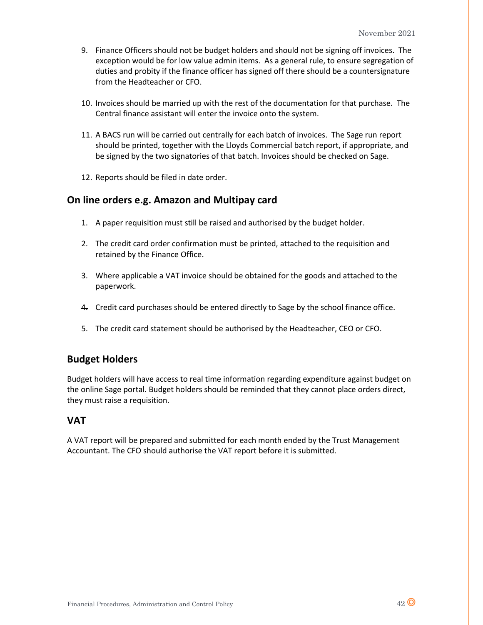- 9. Finance Officers should not be budget holders and should not be signing off invoices. The exception would be for low value admin items. As a general rule, to ensure segregation of duties and probity if the finance officer has signed off there should be a countersignature from the Headteacher or CFO.
- 10. Invoices should be married up with the rest of the documentation for that purchase. The Central finance assistant will enter the invoice onto the system.
- 11. A BACS run will be carried out centrally for each batch of invoices. The Sage run report should be printed, together with the Lloyds Commercial batch report, if appropriate, and be signed by the two signatories of that batch. Invoices should be checked on Sage.
- 12. Reports should be filed in date order.

### **On line orders e.g. Amazon and Multipay card**

- 1. A paper requisition must still be raised and authorised by the budget holder.
- 2. The credit card order confirmation must be printed, attached to the requisition and retained by the Finance Office.
- 3. Where applicable a VAT invoice should be obtained for the goods and attached to the paperwork.
- 4. Credit card purchases should be entered directly to Sage by the school finance office.
- 5. The credit card statement should be authorised by the Headteacher, CEO or CFO.

### **Budget Holders**

Budget holders will have access to real time information regarding expenditure against budget on the online Sage portal. Budget holders should be reminded that they cannot place orders direct, they must raise a requisition.

## **VAT**

A VAT report will be prepared and submitted for each month ended by the Trust Management Accountant. The CFO should authorise the VAT report before it is submitted.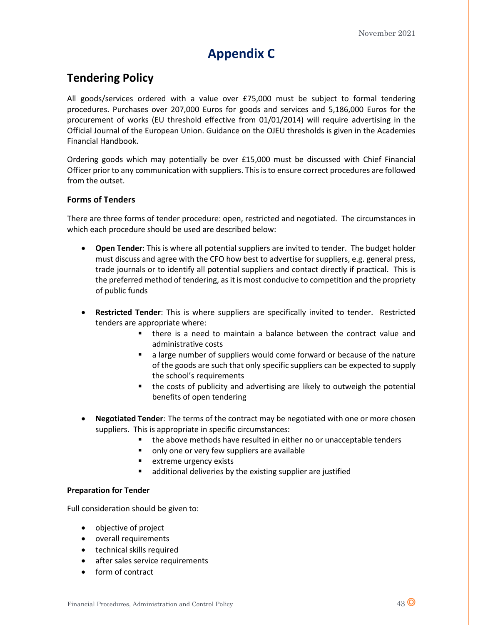# **Appendix C**

## **Tendering Policy**

All goods/services ordered with a value over £75,000 must be subject to formal tendering procedures. Purchases over 207,000 Euros for goods and services and 5,186,000 Euros for the procurement of works (EU threshold effective from 01/01/2014) will require advertising in the Official Journal of the European Union. Guidance on the OJEU thresholds is given in the Academies Financial Handbook.

Ordering goods which may potentially be over £15,000 must be discussed with Chief Financial Officer prior to any communication with suppliers. This is to ensure correct procedures are followed from the outset.

### **Forms of Tenders**

There are three forms of tender procedure: open, restricted and negotiated. The circumstances in which each procedure should be used are described below:

- **Open Tender**: This is where all potential suppliers are invited to tender. The budget holder must discuss and agree with the CFO how best to advertise for suppliers, e.g. general press, trade journals or to identify all potential suppliers and contact directly if practical. This is the preferred method of tendering, as it is most conducive to competition and the propriety of public funds
- **Restricted Tender**: This is where suppliers are specifically invited to tender. Restricted tenders are appropriate where:
	- there is a need to maintain a balance between the contract value and administrative costs
	- a large number of suppliers would come forward or because of the nature of the goods are such that only specific suppliers can be expected to supply the school's requirements
	- the costs of publicity and advertising are likely to outweigh the potential benefits of open tendering
- **Negotiated Tender**: The terms of the contract may be negotiated with one or more chosen suppliers. This is appropriate in specific circumstances:
	- the above methods have resulted in either no or unacceptable tenders
	- only one or very few suppliers are available
	- extreme urgency exists
	- additional deliveries by the existing supplier are justified

### **Preparation for Tender**

Full consideration should be given to:

- objective of project
- overall requirements
- technical skills required
- after sales service requirements
- form of contract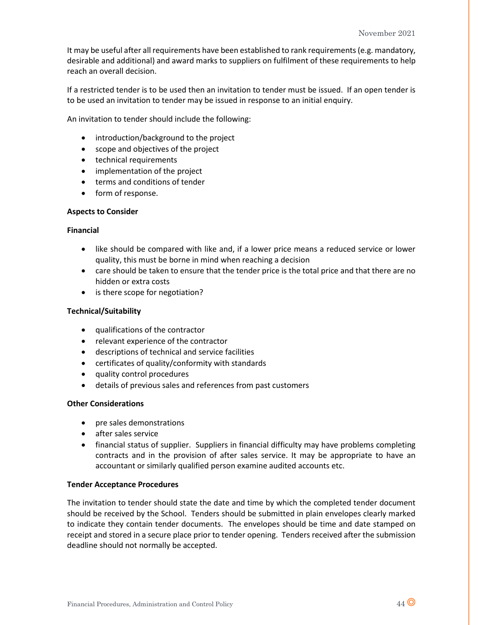It may be useful after all requirements have been established to rank requirements (e.g. mandatory, desirable and additional) and award marks to suppliers on fulfilment of these requirements to help reach an overall decision.

If a restricted tender is to be used then an invitation to tender must be issued. If an open tender is to be used an invitation to tender may be issued in response to an initial enquiry.

An invitation to tender should include the following:

- introduction/background to the project
- scope and objectives of the project
- technical requirements
- implementation of the project
- terms and conditions of tender
- form of response.

#### **Aspects to Consider**

#### **Financial**

- like should be compared with like and, if a lower price means a reduced service or lower quality, this must be borne in mind when reaching a decision
- care should be taken to ensure that the tender price is the total price and that there are no hidden or extra costs
- is there scope for negotiation?

### **Technical/Suitability**

- qualifications of the contractor
- relevant experience of the contractor
- descriptions of technical and service facilities
- certificates of quality/conformity with standards
- quality control procedures
- details of previous sales and references from past customers

### **Other Considerations**

- pre sales demonstrations
- after sales service
- financial status of supplier. Suppliers in financial difficulty may have problems completing contracts and in the provision of after sales service. It may be appropriate to have an accountant or similarly qualified person examine audited accounts etc.

#### **Tender Acceptance Procedures**

The invitation to tender should state the date and time by which the completed tender document should be received by the School. Tenders should be submitted in plain envelopes clearly marked to indicate they contain tender documents. The envelopes should be time and date stamped on receipt and stored in a secure place prior to tender opening. Tenders received after the submission deadline should not normally be accepted.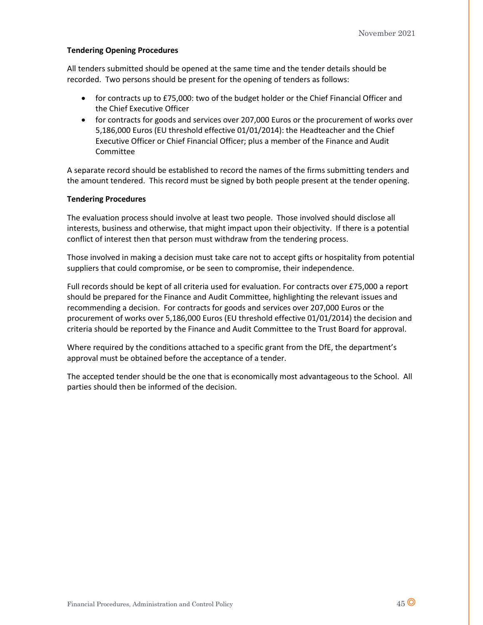### **Tendering Opening Procedures**

All tenders submitted should be opened at the same time and the tender details should be recorded. Two persons should be present for the opening of tenders as follows:

- for contracts up to £75,000: two of the budget holder or the Chief Financial Officer and the Chief Executive Officer
- for contracts for goods and services over 207,000 Euros or the procurement of works over 5,186,000 Euros (EU threshold effective 01/01/2014): the Headteacher and the Chief Executive Officer or Chief Financial Officer; plus a member of the Finance and Audit Committee

A separate record should be established to record the names of the firms submitting tenders and the amount tendered. This record must be signed by both people present at the tender opening.

### **Tendering Procedures**

The evaluation process should involve at least two people. Those involved should disclose all interests, business and otherwise, that might impact upon their objectivity. If there is a potential conflict of interest then that person must withdraw from the tendering process.

Those involved in making a decision must take care not to accept gifts or hospitality from potential suppliers that could compromise, or be seen to compromise, their independence.

Full records should be kept of all criteria used for evaluation. For contracts over £75,000 a report should be prepared for the Finance and Audit Committee, highlighting the relevant issues and recommending a decision. For contracts for goods and services over 207,000 Euros or the procurement of works over 5,186,000 Euros (EU threshold effective 01/01/2014) the decision and criteria should be reported by the Finance and Audit Committee to the Trust Board for approval.

Where required by the conditions attached to a specific grant from the DfE, the department's approval must be obtained before the acceptance of a tender.

The accepted tender should be the one that is economically most advantageous to the School. All parties should then be informed of the decision.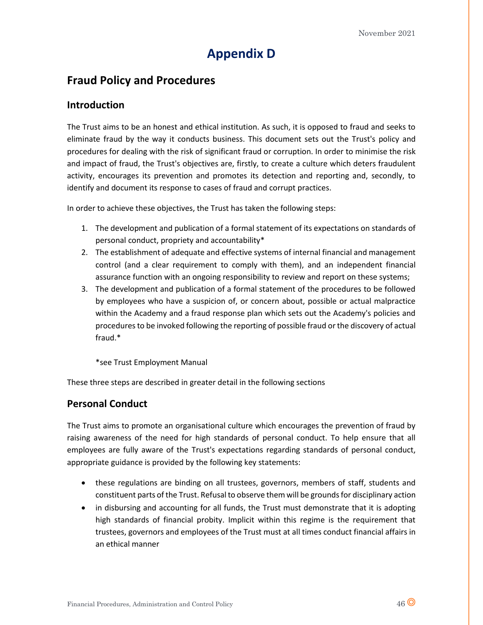# **Appendix D**

## **Fraud Policy and Procedures**

### **Introduction**

The Trust aims to be an honest and ethical institution. As such, it is opposed to fraud and seeks to eliminate fraud by the way it conducts business. This document sets out the Trust's policy and procedures for dealing with the risk of significant fraud or corruption. In order to minimise the risk and impact of fraud, the Trust's objectives are, firstly, to create a culture which deters fraudulent activity, encourages its prevention and promotes its detection and reporting and, secondly, to identify and document its response to cases of fraud and corrupt practices.

In order to achieve these objectives, the Trust has taken the following steps:

- 1. The development and publication of a formal statement of its expectations on standards of personal conduct, propriety and accountability\*
- 2. The establishment of adequate and effective systems of internal financial and management control (and a clear requirement to comply with them), and an independent financial assurance function with an ongoing responsibility to review and report on these systems;
- 3. The development and publication of a formal statement of the procedures to be followed by employees who have a suspicion of, or concern about, possible or actual malpractice within the Academy and a fraud response plan which sets out the Academy's policies and procedures to be invoked following the reporting of possible fraud or the discovery of actual fraud.\*

\*see Trust Employment Manual

These three steps are described in greater detail in the following sections

## **Personal Conduct**

The Trust aims to promote an organisational culture which encourages the prevention of fraud by raising awareness of the need for high standards of personal conduct. To help ensure that all employees are fully aware of the Trust's expectations regarding standards of personal conduct, appropriate guidance is provided by the following key statements:

- these regulations are binding on all trustees, governors, members of staff, students and constituent parts of the Trust. Refusal to observe them will be grounds for disciplinary action
- in disbursing and accounting for all funds, the Trust must demonstrate that it is adopting high standards of financial probity. Implicit within this regime is the requirement that trustees, governors and employees of the Trust must at all times conduct financial affairs in an ethical manner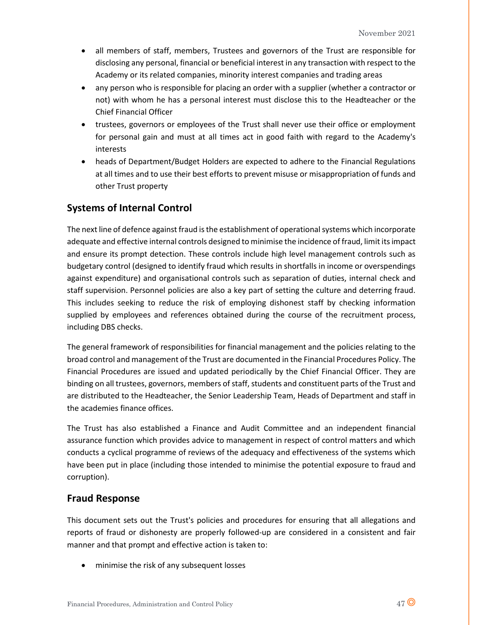- all members of staff, members, Trustees and governors of the Trust are responsible for disclosing any personal, financial or beneficial interest in any transaction with respect to the Academy or its related companies, minority interest companies and trading areas
- any person who is responsible for placing an order with a supplier (whether a contractor or not) with whom he has a personal interest must disclose this to the Headteacher or the Chief Financial Officer
- trustees, governors or employees of the Trust shall never use their office or employment for personal gain and must at all times act in good faith with regard to the Academy's interests
- heads of Department/Budget Holders are expected to adhere to the Financial Regulations at all times and to use their best efforts to prevent misuse or misappropriation of funds and other Trust property

## **Systems of Internal Control**

The next line of defence against fraud is the establishment of operational systems which incorporate adequate and effective internal controls designed to minimise the incidence of fraud, limit its impact and ensure its prompt detection. These controls include high level management controls such as budgetary control (designed to identify fraud which results in shortfalls in income or overspendings against expenditure) and organisational controls such as separation of duties, internal check and staff supervision. Personnel policies are also a key part of setting the culture and deterring fraud. This includes seeking to reduce the risk of employing dishonest staff by checking information supplied by employees and references obtained during the course of the recruitment process, including DBS checks.

The general framework of responsibilities for financial management and the policies relating to the broad control and management of the Trust are documented in the Financial Procedures Policy. The Financial Procedures are issued and updated periodically by the Chief Financial Officer. They are binding on all trustees, governors, members of staff, students and constituent parts of the Trust and are distributed to the Headteacher, the Senior Leadership Team, Heads of Department and staff in the academies finance offices.

The Trust has also established a Finance and Audit Committee and an independent financial assurance function which provides advice to management in respect of control matters and which conducts a cyclical programme of reviews of the adequacy and effectiveness of the systems which have been put in place (including those intended to minimise the potential exposure to fraud and corruption).

## **Fraud Response**

This document sets out the Trust's policies and procedures for ensuring that all allegations and reports of fraud or dishonesty are properly followed-up are considered in a consistent and fair manner and that prompt and effective action is taken to:

• minimise the risk of any subsequent losses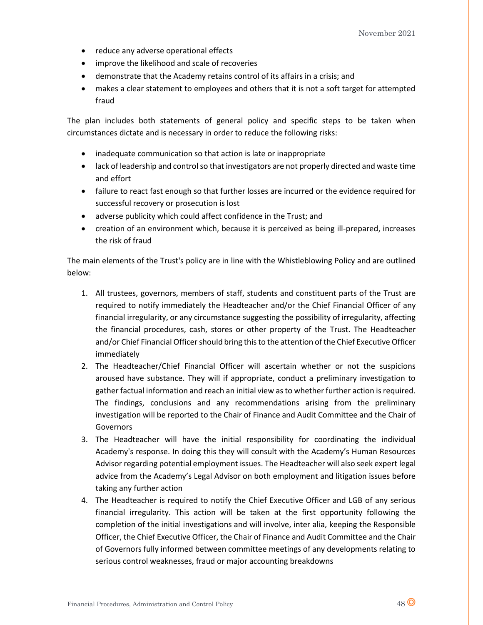- reduce any adverse operational effects
- improve the likelihood and scale of recoveries
- demonstrate that the Academy retains control of its affairs in a crisis; and
- makes a clear statement to employees and others that it is not a soft target for attempted fraud

The plan includes both statements of general policy and specific steps to be taken when circumstances dictate and is necessary in order to reduce the following risks:

- inadequate communication so that action is late or inappropriate
- lack of leadership and control so that investigators are not properly directed and waste time and effort
- failure to react fast enough so that further losses are incurred or the evidence required for successful recovery or prosecution is lost
- adverse publicity which could affect confidence in the Trust; and
- creation of an environment which, because it is perceived as being ill-prepared, increases the risk of fraud

The main elements of the Trust's policy are in line with the Whistleblowing Policy and are outlined below:

- 1. All trustees, governors, members of staff, students and constituent parts of the Trust are required to notify immediately the Headteacher and/or the Chief Financial Officer of any financial irregularity, or any circumstance suggesting the possibility of irregularity, affecting the financial procedures, cash, stores or other property of the Trust. The Headteacher and/or Chief Financial Officer should bring this to the attention of the Chief Executive Officer immediately
- 2. The Headteacher/Chief Financial Officer will ascertain whether or not the suspicions aroused have substance. They will if appropriate, conduct a preliminary investigation to gather factual information and reach an initial view as to whether further action is required. The findings, conclusions and any recommendations arising from the preliminary investigation will be reported to the Chair of Finance and Audit Committee and the Chair of **Governors**
- 3. The Headteacher will have the initial responsibility for coordinating the individual Academy's response. In doing this they will consult with the Academy's Human Resources Advisor regarding potential employment issues. The Headteacher will also seek expert legal advice from the Academy's Legal Advisor on both employment and litigation issues before taking any further action
- 4. The Headteacher is required to notify the Chief Executive Officer and LGB of any serious financial irregularity. This action will be taken at the first opportunity following the completion of the initial investigations and will involve, inter alia, keeping the Responsible Officer, the Chief Executive Officer, the Chair of Finance and Audit Committee and the Chair of Governors fully informed between committee meetings of any developments relating to serious control weaknesses, fraud or major accounting breakdowns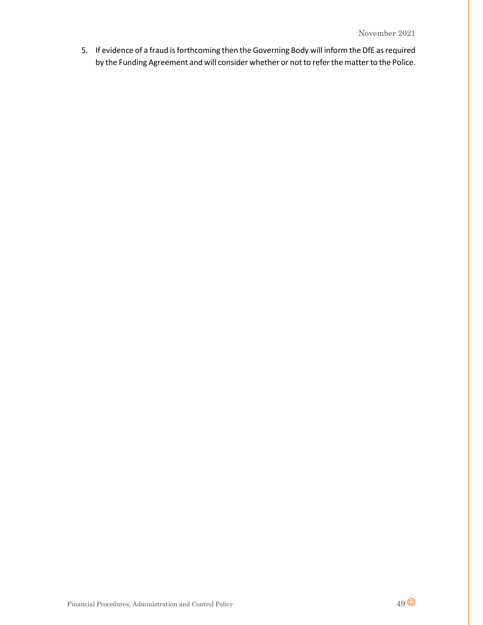5. If evidence of a fraud is forthcoming then the Governing Body will inform the DfE as required by the Funding Agreement and will consider whether or not to refer the matter to the Police.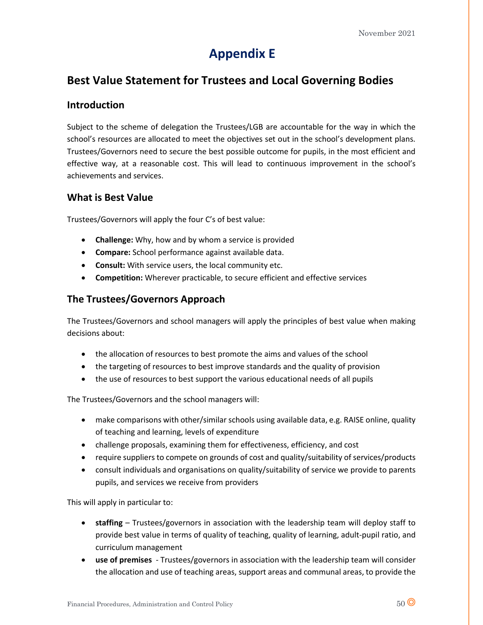# **Appendix E**

## **Best Value Statement for Trustees and Local Governing Bodies**

### **Introduction**

Subject to the scheme of delegation the Trustees/LGB are accountable for the way in which the school's resources are allocated to meet the objectives set out in the school's development plans. Trustees/Governors need to secure the best possible outcome for pupils, in the most efficient and effective way, at a reasonable cost. This will lead to continuous improvement in the school's achievements and services.

### **What is Best Value**

Trustees/Governors will apply the four C's of best value:

- **Challenge:** Why, how and by whom a service is provided
- **Compare:** School performance against available data.
- **Consult:** With service users, the local community etc.
- **Competition:** Wherever practicable, to secure efficient and effective services

## **The Trustees/Governors Approach**

The Trustees/Governors and school managers will apply the principles of best value when making decisions about:

- the allocation of resources to best promote the aims and values of the school
- the targeting of resources to best improve standards and the quality of provision
- the use of resources to best support the various educational needs of all pupils

The Trustees/Governors and the school managers will:

- make comparisons with other/similar schools using available data, e.g. RAISE online, quality of teaching and learning, levels of expenditure
- challenge proposals, examining them for effectiveness, efficiency, and cost
- require suppliers to compete on grounds of cost and quality/suitability of services/products
- consult individuals and organisations on quality/suitability of service we provide to parents pupils, and services we receive from providers

This will apply in particular to:

- **staffing** Trustees/governors in association with the leadership team will deploy staff to provide best value in terms of quality of teaching, quality of learning, adult-pupil ratio, and curriculum management
- **use of premises** Trustees/governors in association with the leadership team will consider the allocation and use of teaching areas, support areas and communal areas, to provide the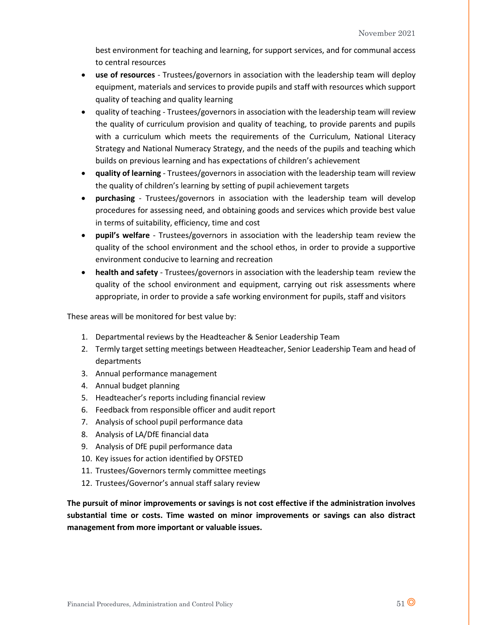best environment for teaching and learning, for support services, and for communal access to central resources

- **use of resources** Trustees/governors in association with the leadership team will deploy equipment, materials and services to provide pupils and staff with resources which support quality of teaching and quality learning
- quality of teaching Trustees/governors in association with the leadership team will review the quality of curriculum provision and quality of teaching, to provide parents and pupils with a curriculum which meets the requirements of the Curriculum, National Literacy Strategy and National Numeracy Strategy, and the needs of the pupils and teaching which builds on previous learning and has expectations of children's achievement
- **quality of learning** Trustees/governors in association with the leadership team will review the quality of children's learning by setting of pupil achievement targets
- **purchasing** Trustees/governors in association with the leadership team will develop procedures for assessing need, and obtaining goods and services which provide best value in terms of suitability, efficiency, time and cost
- **pupil's welfare** Trustees/governors in association with the leadership team review the quality of the school environment and the school ethos, in order to provide a supportive environment conducive to learning and recreation
- **health and safety** Trustees/governors in association with the leadership team review the quality of the school environment and equipment, carrying out risk assessments where appropriate, in order to provide a safe working environment for pupils, staff and visitors

These areas will be monitored for best value by:

- 1. Departmental reviews by the Headteacher & Senior Leadership Team
- 2. Termly target setting meetings between Headteacher, Senior Leadership Team and head of departments
- 3. Annual performance management
- 4. Annual budget planning
- 5. Headteacher's reports including financial review
- 6. Feedback from responsible officer and audit report
- 7. Analysis of school pupil performance data
- 8. Analysis of LA/DfE financial data
- 9. Analysis of DfE pupil performance data
- 10. Key issues for action identified by OFSTED
- 11. Trustees/Governors termly committee meetings
- 12. Trustees/Governor's annual staff salary review

**The pursuit of minor improvements or savings is not cost effective if the administration involves substantial time or costs. Time wasted on minor improvements or savings can also distract management from more important or valuable issues.**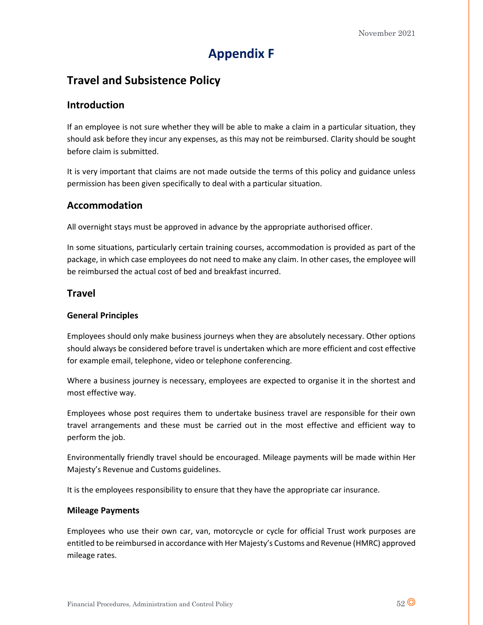# **Appendix F**

## **Travel and Subsistence Policy**

### **Introduction**

If an employee is not sure whether they will be able to make a claim in a particular situation, they should ask before they incur any expenses, as this may not be reimbursed. Clarity should be sought before claim is submitted.

It is very important that claims are not made outside the terms of this policy and guidance unless permission has been given specifically to deal with a particular situation.

## **Accommodation**

All overnight stays must be approved in advance by the appropriate authorised officer.

In some situations, particularly certain training courses, accommodation is provided as part of the package, in which case employees do not need to make any claim. In other cases, the employee will be reimbursed the actual cost of bed and breakfast incurred.

### **Travel**

### **General Principles**

Employees should only make business journeys when they are absolutely necessary. Other options should always be considered before travel is undertaken which are more efficient and cost effective for example email, telephone, video or telephone conferencing.

Where a business journey is necessary, employees are expected to organise it in the shortest and most effective way.

Employees whose post requires them to undertake business travel are responsible for their own travel arrangements and these must be carried out in the most effective and efficient way to perform the job.

Environmentally friendly travel should be encouraged. Mileage payments will be made within Her Majesty's Revenue and Customs guidelines.

It is the employees responsibility to ensure that they have the appropriate car insurance.

### **Mileage Payments**

Employees who use their own car, van, motorcycle or cycle for official Trust work purposes are entitled to be reimbursed in accordance with Her Majesty's Customs and Revenue (HMRC) approved mileage rates.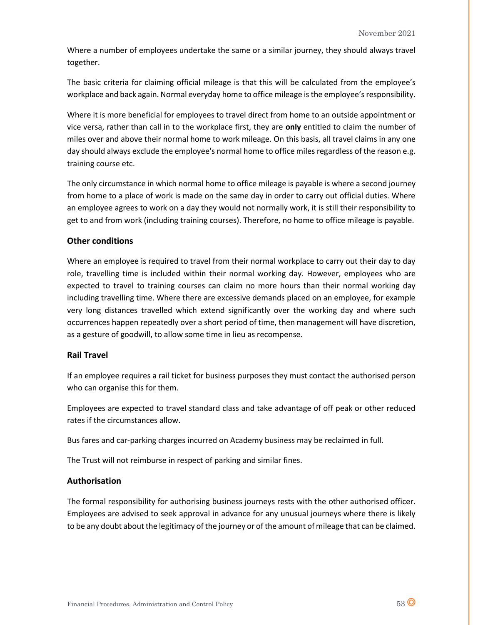Where a number of employees undertake the same or a similar journey, they should always travel together.

The basic criteria for claiming official mileage is that this will be calculated from the employee's workplace and back again. Normal everyday home to office mileage is the employee's responsibility.

Where it is more beneficial for employees to travel direct from home to an outside appointment or vice versa, rather than call in to the workplace first, they are **only** entitled to claim the number of miles over and above their normal home to work mileage. On this basis, all travel claims in any one day should always exclude the employee's normal home to office miles regardless of the reason e.g. training course etc.

The only circumstance in which normal home to office mileage is payable is where a second journey from home to a place of work is made on the same day in order to carry out official duties. Where an employee agrees to work on a day they would not normally work, it is still their responsibility to get to and from work (including training courses). Therefore, no home to office mileage is payable.

### **Other conditions**

Where an employee is required to travel from their normal workplace to carry out their day to day role, travelling time is included within their normal working day. However, employees who are expected to travel to training courses can claim no more hours than their normal working day including travelling time. Where there are excessive demands placed on an employee, for example very long distances travelled which extend significantly over the working day and where such occurrences happen repeatedly over a short period of time, then management will have discretion, as a gesture of goodwill, to allow some time in lieu as recompense.

### **Rail Travel**

If an employee requires a rail ticket for business purposes they must contact the authorised person who can organise this for them.

Employees are expected to travel standard class and take advantage of off peak or other reduced rates if the circumstances allow.

Bus fares and car-parking charges incurred on Academy business may be reclaimed in full.

The Trust will not reimburse in respect of parking and similar fines.

### **Authorisation**

The formal responsibility for authorising business journeys rests with the other authorised officer. Employees are advised to seek approval in advance for any unusual journeys where there is likely to be any doubt about the legitimacy of the journey or of the amount of mileage that can be claimed.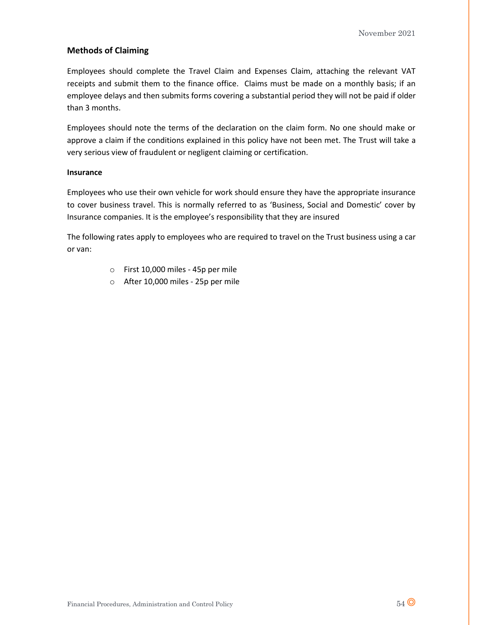### **Methods of Claiming**

Employees should complete the Travel Claim and Expenses Claim, attaching the relevant VAT receipts and submit them to the finance office. Claims must be made on a monthly basis; if an employee delays and then submits forms covering a substantial period they will not be paid if older than 3 months.

Employees should note the terms of the declaration on the claim form. No one should make or approve a claim if the conditions explained in this policy have not been met. The Trust will take a very serious view of fraudulent or negligent claiming or certification.

#### **Insurance**

Employees who use their own vehicle for work should ensure they have the appropriate insurance to cover business travel. This is normally referred to as 'Business, Social and Domestic' cover by Insurance companies. It is the employee's responsibility that they are insured

The following rates apply to employees who are required to travel on the Trust business using a car or van:

- o First 10,000 miles 45p per mile
- o After 10,000 miles 25p per mile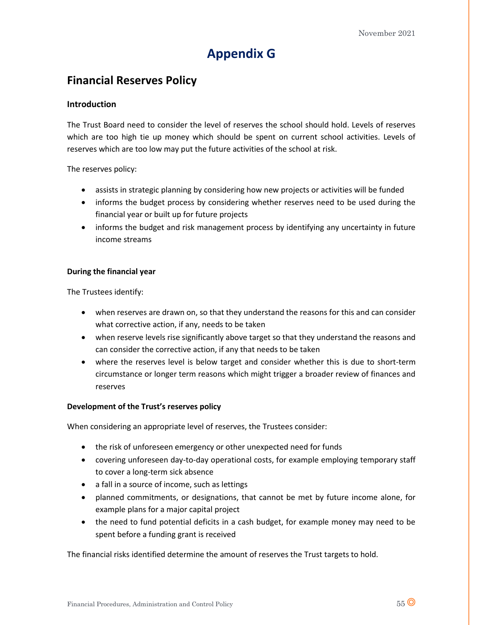# **Appendix G**

## **Financial Reserves Policy**

### **Introduction**

The Trust Board need to consider the level of reserves the school should hold. Levels of reserves which are too high tie up money which should be spent on current school activities. Levels of reserves which are too low may put the future activities of the school at risk.

The reserves policy:

- assists in strategic planning by considering how new projects or activities will be funded
- informs the budget process by considering whether reserves need to be used during the financial year or built up for future projects
- informs the budget and risk management process by identifying any uncertainty in future income streams

### **During the financial year**

The Trustees identify:

- when reserves are drawn on, so that they understand the reasons for this and can consider what corrective action, if any, needs to be taken
- when reserve levels rise significantly above target so that they understand the reasons and can consider the corrective action, if any that needs to be taken
- where the reserves level is below target and consider whether this is due to short-term circumstance or longer term reasons which might trigger a broader review of finances and reserves

### **Development of the Trust's reserves policy**

When considering an appropriate level of reserves, the Trustees consider:

- the risk of unforeseen emergency or other unexpected need for funds
- covering unforeseen day-to-day operational costs, for example employing temporary staff to cover a long-term sick absence
- a fall in a source of income, such as lettings
- planned commitments, or designations, that cannot be met by future income alone, for example plans for a major capital project
- the need to fund potential deficits in a cash budget, for example money may need to be spent before a funding grant is received

The financial risks identified determine the amount of reserves the Trust targets to hold.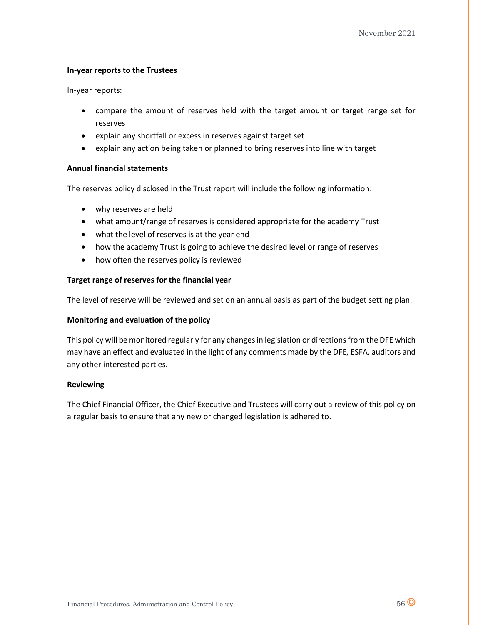### **In-year reports to the Trustees**

In-year reports:

- compare the amount of reserves held with the target amount or target range set for reserves
- explain any shortfall or excess in reserves against target set
- explain any action being taken or planned to bring reserves into line with target

### **Annual financial statements**

The reserves policy disclosed in the Trust report will include the following information:

- why reserves are held
- what amount/range of reserves is considered appropriate for the academy Trust
- what the level of reserves is at the year end
- how the academy Trust is going to achieve the desired level or range of reserves
- how often the reserves policy is reviewed

### **Target range of reserves for the financial year**

The level of reserve will be reviewed and set on an annual basis as part of the budget setting plan.

### **Monitoring and evaluation of the policy**

This policy will be monitored regularly for any changes in legislation or directions from the DFE which may have an effect and evaluated in the light of any comments made by the DFE, ESFA, auditors and any other interested parties.

#### **Reviewing**

The Chief Financial Officer, the Chief Executive and Trustees will carry out a review of this policy on a regular basis to ensure that any new or changed legislation is adhered to.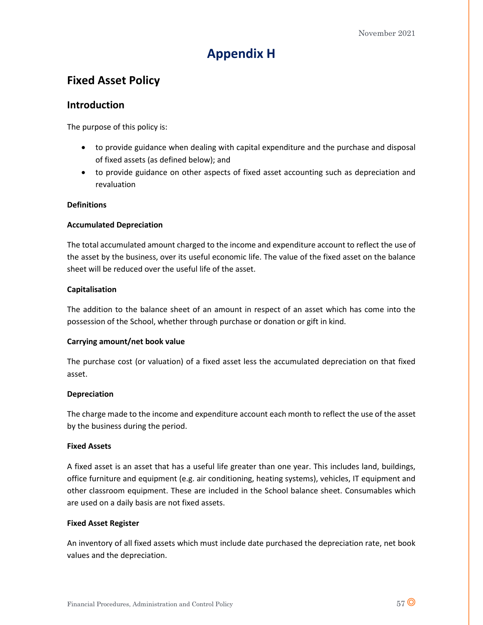# **Appendix H**

## **Fixed Asset Policy**

### **Introduction**

The purpose of this policy is:

- to provide guidance when dealing with capital expenditure and the purchase and disposal of fixed assets (as defined below); and
- to provide guidance on other aspects of fixed asset accounting such as depreciation and revaluation

### **Definitions**

### **Accumulated Depreciation**

The total accumulated amount charged to the income and expenditure account to reflect the use of the asset by the business, over its useful economic life. The value of the fixed asset on the balance sheet will be reduced over the useful life of the asset.

### **Capitalisation**

The addition to the balance sheet of an amount in respect of an asset which has come into the possession of the School, whether through purchase or donation or gift in kind.

### **Carrying amount/net book value**

The purchase cost (or valuation) of a fixed asset less the accumulated depreciation on that fixed asset.

### **Depreciation**

The charge made to the income and expenditure account each month to reflect the use of the asset by the business during the period.

#### **Fixed Assets**

A fixed asset is an asset that has a useful life greater than one year. This includes land, buildings, office furniture and equipment (e.g. air conditioning, heating systems), vehicles, IT equipment and other classroom equipment. These are included in the School balance sheet. Consumables which are used on a daily basis are not fixed assets.

### **Fixed Asset Register**

An inventory of all fixed assets which must include date purchased the depreciation rate, net book values and the depreciation.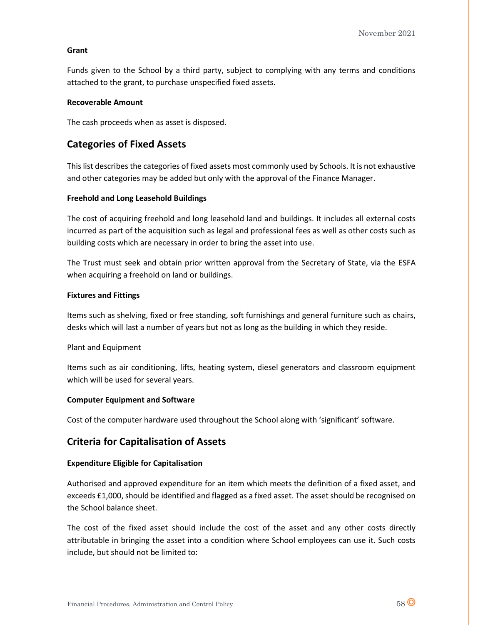### **Grant**

Funds given to the School by a third party, subject to complying with any terms and conditions attached to the grant, to purchase unspecified fixed assets.

### **Recoverable Amount**

The cash proceeds when as asset is disposed.

## **Categories of Fixed Assets**

This list describes the categories of fixed assets most commonly used by Schools. It is not exhaustive and other categories may be added but only with the approval of the Finance Manager.

### **Freehold and Long Leasehold Buildings**

The cost of acquiring freehold and long leasehold land and buildings. It includes all external costs incurred as part of the acquisition such as legal and professional fees as well as other costs such as building costs which are necessary in order to bring the asset into use.

The Trust must seek and obtain prior written approval from the Secretary of State, via the ESFA when acquiring a freehold on land or buildings.

### **Fixtures and Fittings**

Items such as shelving, fixed or free standing, soft furnishings and general furniture such as chairs, desks which will last a number of years but not as long as the building in which they reside.

### Plant and Equipment

Items such as air conditioning, lifts, heating system, diesel generators and classroom equipment which will be used for several years.

### **Computer Equipment and Software**

Cost of the computer hardware used throughout the School along with 'significant' software.

## **Criteria for Capitalisation of Assets**

#### **Expenditure Eligible for Capitalisation**

Authorised and approved expenditure for an item which meets the definition of a fixed asset, and exceeds £1,000, should be identified and flagged as a fixed asset. The asset should be recognised on the School balance sheet.

The cost of the fixed asset should include the cost of the asset and any other costs directly attributable in bringing the asset into a condition where School employees can use it. Such costs include, but should not be limited to: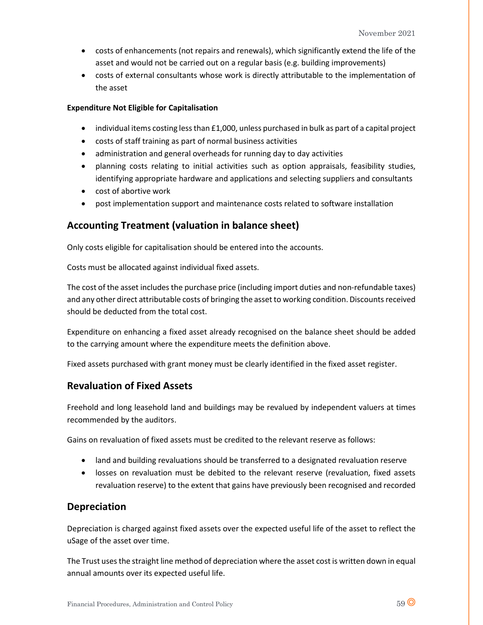- costs of enhancements (not repairs and renewals), which significantly extend the life of the asset and would not be carried out on a regular basis (e.g. building improvements)
- costs of external consultants whose work is directly attributable to the implementation of the asset

### **Expenditure Not Eligible for Capitalisation**

- individual items costing less than £1,000, unless purchased in bulk as part of a capital project
- costs of staff training as part of normal business activities
- administration and general overheads for running day to day activities
- planning costs relating to initial activities such as option appraisals, feasibility studies, identifying appropriate hardware and applications and selecting suppliers and consultants
- cost of abortive work
- post implementation support and maintenance costs related to software installation

## **Accounting Treatment (valuation in balance sheet)**

Only costs eligible for capitalisation should be entered into the accounts.

Costs must be allocated against individual fixed assets.

The cost of the asset includes the purchase price (including import duties and non-refundable taxes) and any other direct attributable costs of bringing the asset to working condition. Discounts received should be deducted from the total cost.

Expenditure on enhancing a fixed asset already recognised on the balance sheet should be added to the carrying amount where the expenditure meets the definition above.

Fixed assets purchased with grant money must be clearly identified in the fixed asset register.

## **Revaluation of Fixed Assets**

Freehold and long leasehold land and buildings may be revalued by independent valuers at times recommended by the auditors.

Gains on revaluation of fixed assets must be credited to the relevant reserve as follows:

- land and building revaluations should be transferred to a designated revaluation reserve
- losses on revaluation must be debited to the relevant reserve (revaluation, fixed assets revaluation reserve) to the extent that gains have previously been recognised and recorded

## **Depreciation**

Depreciation is charged against fixed assets over the expected useful life of the asset to reflect the uSage of the asset over time.

The Trust uses the straight line method of depreciation where the asset cost is written down in equal annual amounts over its expected useful life.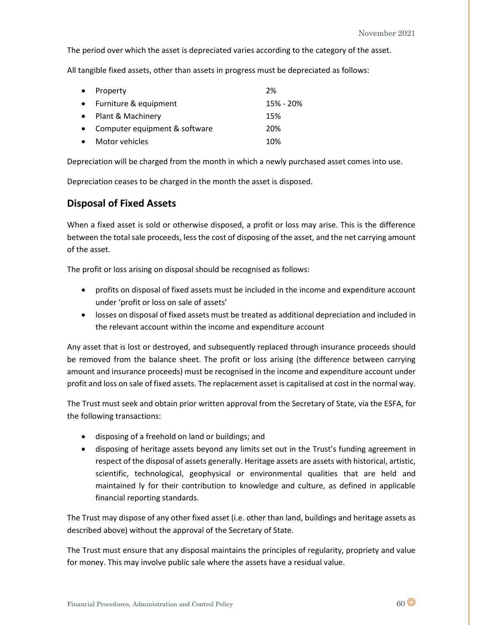The period over which the asset is depreciated varies according to the category of the asset.

All tangible fixed assets, other than assets in progress must be depreciated as follows:

| • Property                      | 2%        |
|---------------------------------|-----------|
| • Furniture & equipment         | 15% - 20% |
| • Plant & Machinery             | 15%       |
| • Computer equipment & software | 20%       |
| • Motor vehicles                | 10%       |

Depreciation will be charged from the month in which a newly purchased asset comes into use.

Depreciation ceases to be charged in the month the asset is disposed.

## **Disposal of Fixed Assets**

When a fixed asset is sold or otherwise disposed, a profit or loss may arise. This is the difference between the total sale proceeds, less the cost of disposing of the asset, and the net carrying amount of the asset.

The profit or loss arising on disposal should be recognised as follows:

- profits on disposal of fixed assets must be included in the income and expenditure account under 'profit or loss on sale of assets'
- losses on disposal of fixed assets must be treated as additional depreciation and included in the relevant account within the income and expenditure account

Any asset that is lost or destroyed, and subsequently replaced through insurance proceeds should be removed from the balance sheet. The profit or loss arising (the difference between carrying amount and insurance proceeds) must be recognised in the income and expenditure account under profit and loss on sale of fixed assets. The replacement asset is capitalised at cost in the normal way.

The Trust must seek and obtain prior written approval from the Secretary of State, via the ESFA, for the following transactions:

- disposing of a freehold on land or buildings; and
- disposing of heritage assets beyond any limits set out in the Trust's funding agreement in respect of the disposal of assets generally. Heritage assets are assets with historical, artistic, scientific, technological, geophysical or environmental qualities that are held and maintained ly for their contribution to knowledge and culture, as defined in applicable financial reporting standards.

The Trust may dispose of any other fixed asset (i.e. other than land, buildings and heritage assets as described above) without the approval of the Secretary of State.

The Trust must ensure that any disposal maintains the principles of regularity, propriety and value for money. This may involve public sale where the assets have a residual value.